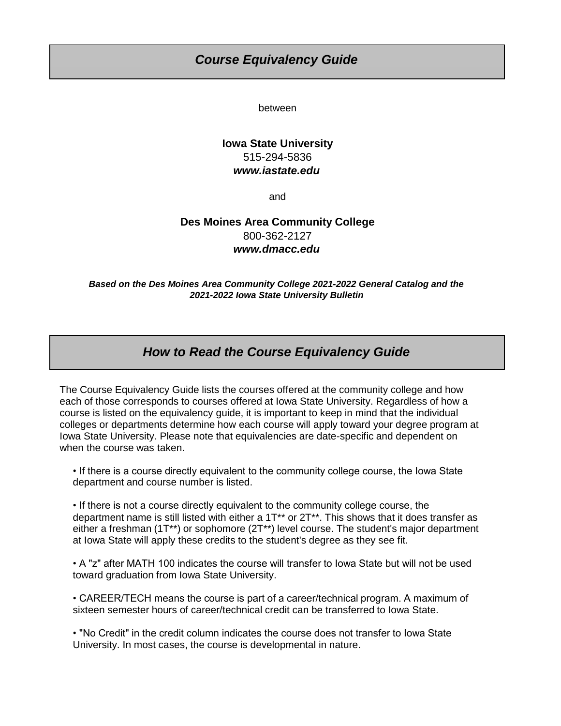## *Course Equivalency Guide*

between

### **Iowa State University** 515-294-5836 *[w](http://www.iastate.edu/)ww.iastate.edu*

and

### **Des Moines Area Community College** 800-362-2127 *[w](http://www.dmacc.edu/)ww.dmacc.edu*

*Based on the Des Moines Area Community College 2021-2022 General Catalog and the 2021-2022 Iowa State University Bulletin*

# *How to Read the Course Equivalency Guide*

The Course Equivalency Guide lists the courses offered at the community college and how each of those corresponds to courses offered at Iowa State University. Regardless of how a course is listed on the equivalency guide, it is important to keep in mind that the individual colleges or departments determine how each course will apply toward your degree program at Iowa State University. Please note that equivalencies are date-specific and dependent on when the course was taken.

- If there is a course directly equivalent to the community college course, the Iowa State department and course number is listed.
- If there is not a course directly equivalent to the community college course, the department name is still listed with either a 1T\*\* or 2T\*\*. This shows that it does transfer as either a freshman (1T\*\*) or sophomore (2T\*\*) level course. The student's major department at Iowa State will apply these credits to the student's degree as they see fit.

• A "z" after MATH 100 indicates the course will transfer to Iowa State but will not be used toward graduation from Iowa State University.

• CAREER/TECH means the course is part of a career/technical program. A maximum of sixteen semester hours of career/technical credit can be transferred to Iowa State.

• "No Credit" in the credit column indicates the course does not transfer to Iowa State University. In most cases, the course is developmental in nature.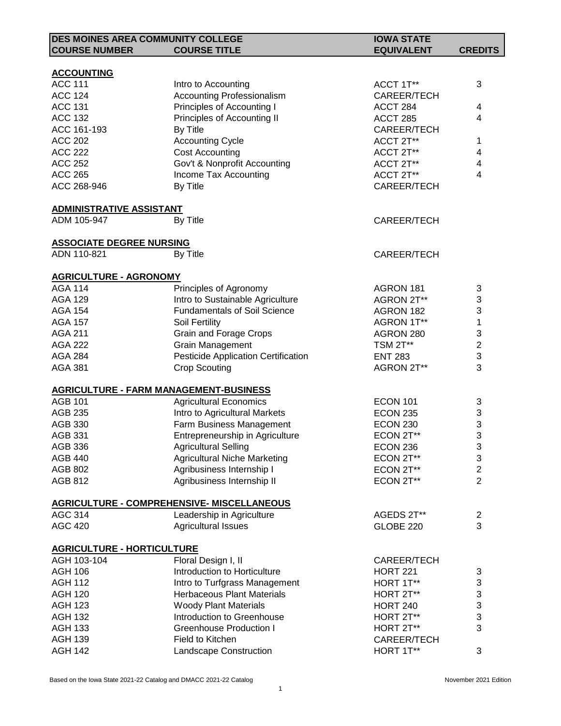| <b>DES MOINES AREA COMMUNITY COLLEGE</b>      |                                            | <b>IOWA STATE</b>  |                           |
|-----------------------------------------------|--------------------------------------------|--------------------|---------------------------|
| <b>COURSE NUMBER</b>                          | <b>COURSE TITLE</b>                        | <b>EQUIVALENT</b>  | <b>CREDITS</b>            |
|                                               |                                            |                    |                           |
| <b>ACCOUNTING</b>                             |                                            |                    |                           |
| <b>ACC 111</b>                                | Intro to Accounting                        | ACCT 1T**          | 3                         |
| <b>ACC 124</b>                                | <b>Accounting Professionalism</b>          | CAREER/TECH        |                           |
| <b>ACC 131</b>                                | Principles of Accounting I                 | ACCT 284           | 4                         |
| <b>ACC 132</b>                                | Principles of Accounting II                | ACCT 285           | 4                         |
| ACC 161-193                                   | By Title                                   | CAREER/TECH        |                           |
| <b>ACC 202</b>                                | <b>Accounting Cycle</b>                    | ACCT 2T**          | 1                         |
| <b>ACC 222</b>                                | <b>Cost Accounting</b>                     | ACCT 2T**          | 4                         |
| <b>ACC 252</b>                                | Gov't & Nonprofit Accounting               | ACCT 2T**          | 4                         |
| <b>ACC 265</b>                                | Income Tax Accounting                      | ACCT 2T**          | 4                         |
| ACC 268-946                                   | By Title                                   | CAREER/TECH        |                           |
| <b>ADMINISTRATIVE ASSISTANT</b>               |                                            |                    |                           |
| ADM 105-947                                   | By Title                                   | <b>CAREER/TECH</b> |                           |
|                                               |                                            |                    |                           |
| <b>ASSOCIATE DEGREE NURSING</b>               |                                            |                    |                           |
| ADN 110-821                                   | By Title                                   | <b>CAREER/TECH</b> |                           |
| <b>AGRICULTURE - AGRONOMY</b>                 |                                            |                    |                           |
| <b>AGA 114</b>                                | Principles of Agronomy                     | AGRON 181          | 3                         |
| <b>AGA 129</b>                                | Intro to Sustainable Agriculture           | AGRON 2T**         | 3                         |
| <b>AGA 154</b>                                | <b>Fundamentals of Soil Science</b>        | AGRON 182          | 3                         |
| <b>AGA 157</b>                                | Soil Fertility                             | AGRON 1T**         | 1                         |
| <b>AGA 211</b>                                | <b>Grain and Forage Crops</b>              | AGRON 280          | 3                         |
| <b>AGA 222</b>                                | Grain Management                           | <b>TSM 2T**</b>    | $\overline{\mathbf{c}}$   |
| <b>AGA 284</b>                                | <b>Pesticide Application Certification</b> | <b>ENT 283</b>     | 3                         |
| <b>AGA 381</b>                                | <b>Crop Scouting</b>                       | AGRON 2T**         | 3                         |
| <b>AGRICULTURE - FARM MANAGEMENT-BUSINESS</b> |                                            |                    |                           |
| <b>AGB 101</b>                                | <b>Agricultural Economics</b>              | <b>ECON 101</b>    | 3                         |
| <b>AGB 235</b>                                | Intro to Agricultural Markets              | <b>ECON 235</b>    | $\ensuremath{\mathsf{3}}$ |
| AGB 330                                       | Farm Business Management                   | <b>ECON 230</b>    | 3                         |
| <b>AGB 331</b>                                | Entrepreneurship in Agriculture            | ECON 2T**          | 3                         |
| <b>AGB 336</b>                                | <b>Agricultural Selling</b>                | ECON 236           | 3                         |
| <b>AGB 440</b>                                | <b>Agricultural Niche Marketing</b>        | ECON 2T**          | 3                         |
| <b>AGB 802</b>                                | Agribusiness Internship I                  | ECON 2T**          | $\overline{2}$            |
| <b>AGB 812</b>                                | Agribusiness Internship II                 | ECON 2T**          | $\overline{2}$            |
|                                               |                                            |                    |                           |
|                                               | AGRICULTURE - COMPREHENSIVE- MISCELLANEOUS |                    |                           |
| <b>AGC 314</b>                                | Leadership in Agriculture                  | AGEDS 2T**         | 2                         |
| <b>AGC 420</b>                                | <b>Agricultural Issues</b>                 | <b>GLOBE 220</b>   | 3                         |
| <b>AGRICULTURE - HORTICULTURE</b>             |                                            |                    |                           |
| AGH 103-104                                   | Floral Design I, II                        | CAREER/TECH        |                           |
| <b>AGH 106</b>                                | Introduction to Horticulture               | <b>HORT 221</b>    | 3                         |
| <b>AGH 112</b>                                | Intro to Turfgrass Management              | HORT 1T**          | 3                         |
| <b>AGH 120</b>                                | <b>Herbaceous Plant Materials</b>          | HORT 2T**          | 3                         |
| <b>AGH 123</b>                                | <b>Woody Plant Materials</b>               | <b>HORT 240</b>    | 3                         |
| <b>AGH 132</b>                                | Introduction to Greenhouse                 | HORT 2T**          | 3                         |
| <b>AGH 133</b>                                | <b>Greenhouse Production I</b>             | HORT 2T**          | 3                         |
| <b>AGH 139</b>                                | Field to Kitchen                           | CAREER/TECH        |                           |
| <b>AGH 142</b>                                | Landscape Construction                     | HORT 1T**          | 3                         |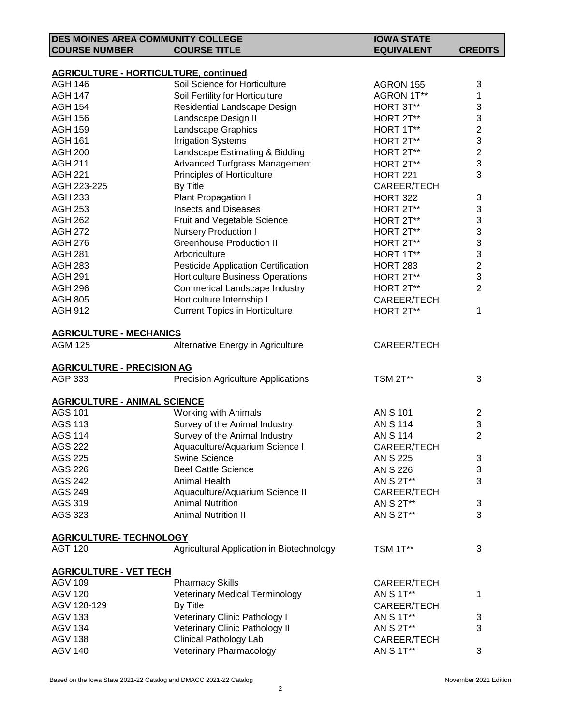|                                     | <b>DES MOINES AREA COMMUNITY COLLEGE</b>                                      | <b>IOWA STATE</b> |                |
|-------------------------------------|-------------------------------------------------------------------------------|-------------------|----------------|
| <b>COURSE NUMBER</b>                | <b>COURSE TITLE</b>                                                           | <b>EQUIVALENT</b> | <b>CREDITS</b> |
|                                     |                                                                               |                   |                |
| <b>AGH 146</b>                      | <b>AGRICULTURE - HORTICULTURE, continued</b><br>Soil Science for Horticulture |                   |                |
| <b>AGH 147</b>                      | Soil Fertility for Horticulture                                               | AGRON 155         | 3              |
| <b>AGH 154</b>                      |                                                                               | AGRON 1T**        | 1              |
| <b>AGH 156</b>                      | Residential Landscape Design                                                  | HORT 3T**         | 3<br>3         |
|                                     | Landscape Design II                                                           | HORT 2T**         | $\overline{c}$ |
| <b>AGH 159</b>                      | Landscape Graphics                                                            | HORT 1T**         | 3              |
| <b>AGH 161</b>                      | <b>Irrigation Systems</b>                                                     | HORT 2T**         | $\overline{c}$ |
| <b>AGH 200</b><br><b>AGH 211</b>    | Landscape Estimating & Bidding                                                | HORT 2T**         | 3              |
| <b>AGH 221</b>                      | Advanced Turfgrass Management                                                 | HORT 2T**         | 3              |
|                                     | Principles of Horticulture                                                    | <b>HORT 221</b>   |                |
| AGH 223-225                         | By Title                                                                      | CAREER/TECH       |                |
| <b>AGH 233</b>                      | Plant Propagation I                                                           | <b>HORT 322</b>   | 3              |
| <b>AGH 253</b>                      | <b>Insects and Diseases</b>                                                   | HORT 2T**         | 3              |
| <b>AGH 262</b>                      | Fruit and Vegetable Science                                                   | HORT 2T**         | 3              |
| <b>AGH 272</b>                      | <b>Nursery Production I</b>                                                   | HORT 2T**         | 3              |
| <b>AGH 276</b>                      | <b>Greenhouse Production II</b>                                               | HORT 2T**         | 3              |
| <b>AGH 281</b>                      | Arboriculture                                                                 | HORT 1T**         | 3              |
| <b>AGH 283</b>                      | Pesticide Application Certification                                           | <b>HORT 283</b>   | $\overline{2}$ |
| <b>AGH 291</b>                      | <b>Horticulture Business Operations</b>                                       | HORT 2T**         | 3              |
| <b>AGH 296</b>                      | Commerical Landscape Industry                                                 | HORT 2T**         | $\overline{2}$ |
| <b>AGH 805</b>                      | Horticulture Internship I                                                     | CAREER/TECH       |                |
| <b>AGH 912</b>                      | <b>Current Topics in Horticulture</b>                                         | HORT 2T**         | 1              |
| <b>AGRICULTURE - MECHANICS</b>      |                                                                               |                   |                |
| <b>AGM 125</b>                      | Alternative Energy in Agriculture                                             | CAREER/TECH       |                |
|                                     |                                                                               |                   |                |
| <b>AGRICULTURE - PRECISION AG</b>   |                                                                               |                   |                |
| AGP 333                             | <b>Precision Agriculture Applications</b>                                     | <b>TSM 2T**</b>   | 3              |
| <b>AGRICULTURE - ANIMAL SCIENCE</b> |                                                                               |                   |                |
| <b>AGS 101</b>                      | <b>Working with Animals</b>                                                   | <b>AN S 101</b>   | 2              |
| <b>AGS 113</b>                      | Survey of the Animal Industry                                                 | <b>AN S 114</b>   | 3              |
| <b>AGS 114</b>                      | Survey of the Animal Industry                                                 | <b>AN S 114</b>   | $\overline{2}$ |
| <b>AGS 222</b>                      | Aquaculture/Aquarium Science I                                                | CAREER/TECH       |                |
| <b>AGS 225</b>                      | <b>Swine Science</b>                                                          | AN S 225          | 3              |
| <b>AGS 226</b>                      | <b>Beef Cattle Science</b>                                                    | <b>AN S 226</b>   | 3              |
| <b>AGS 242</b>                      | Animal Health                                                                 | AN S 2T**         | 3              |
| <b>AGS 249</b>                      | Aquaculture/Aquarium Science II                                               | CAREER/TECH       |                |
| AGS 319                             | <b>Animal Nutrition</b>                                                       | AN S 2T**         | 3              |
| AGS 323                             | <b>Animal Nutrition II</b>                                                    | AN S 2T**         | 3              |
|                                     |                                                                               |                   |                |
| <b>AGRICULTURE- TECHNOLOGY</b>      |                                                                               |                   |                |
| <b>AGT 120</b>                      | Agricultural Application in Biotechnology                                     | <b>TSM 1T**</b>   | 3              |
| <b>AGRICULTURE - VET TECH</b>       |                                                                               |                   |                |
| <b>AGV 109</b>                      | <b>Pharmacy Skills</b>                                                        | CAREER/TECH       |                |
| <b>AGV 120</b>                      | <b>Veterinary Medical Terminology</b>                                         | AN S 1T**         | 1              |
| AGV 128-129                         | By Title                                                                      | CAREER/TECH       |                |
| <b>AGV 133</b>                      | Veterinary Clinic Pathology I                                                 | AN S 1T**         | 3              |
| <b>AGV 134</b>                      | Veterinary Clinic Pathology II                                                | AN S 2T**         | 3              |
| <b>AGV 138</b>                      | <b>Clinical Pathology Lab</b>                                                 | CAREER/TECH       |                |
| <b>AGV 140</b>                      | Veterinary Pharmacology                                                       | AN S 1T**         | 3              |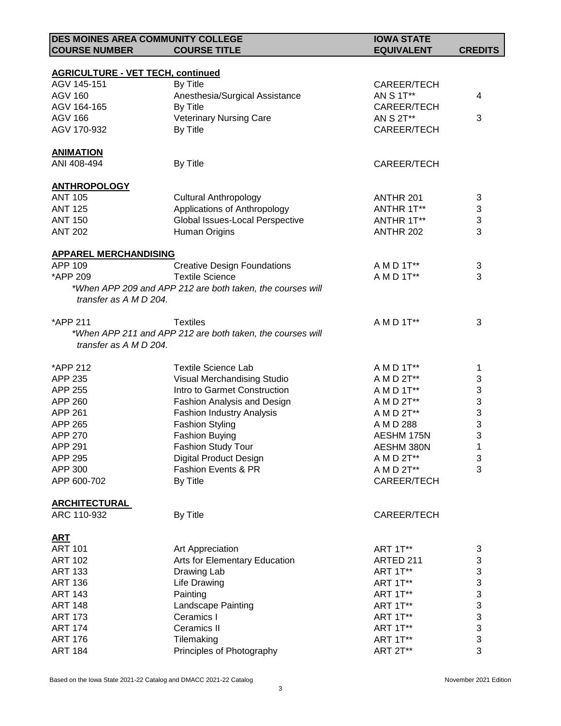| <b>DES MOINES AREA COMMUNITY COLLEGE</b> |                                                            | <b>IOWA STATE</b>        |                                |
|------------------------------------------|------------------------------------------------------------|--------------------------|--------------------------------|
| <b>COURSE NUMBER</b>                     | <b>COURSE TITLE</b>                                        | <b>EQUIVALENT</b>        | <b>CREDITS</b>                 |
|                                          |                                                            |                          |                                |
| <b>AGRICULTURE - VET TECH, continued</b> |                                                            |                          |                                |
| AGV 145-151                              | By Title                                                   | CAREER/TECH              |                                |
| <b>AGV 160</b>                           | Anesthesia/Surgical Assistance                             | AN S 1T**                | 4                              |
| AGV 164-165                              | By Title                                                   | CAREER/TECH              |                                |
| <b>AGV 166</b>                           | <b>Veterinary Nursing Care</b>                             | AN S 2T**                | 3                              |
| AGV 170-932                              | By Title                                                   | CAREER/TECH              |                                |
|                                          |                                                            |                          |                                |
| <b>ANIMATION</b>                         |                                                            |                          |                                |
| ANI 408-494                              | By Title                                                   | CAREER/TECH              |                                |
|                                          |                                                            |                          |                                |
| <b>ANTHROPOLOGY</b>                      |                                                            |                          |                                |
| <b>ANT 105</b>                           | <b>Cultural Anthropology</b>                               | ANTHR 201                | 3                              |
| <b>ANT 125</b>                           | Applications of Anthropology                               | ANTHR 1T**               | $\ensuremath{\mathsf{3}}$      |
| <b>ANT 150</b>                           | Global Issues-Local Perspective                            | ANTHR 1T**               | 3                              |
| <b>ANT 202</b>                           | Human Origins                                              | ANTHR 202                | 3                              |
|                                          |                                                            |                          |                                |
| <b>APPAREL MERCHANDISING</b>             |                                                            |                          |                                |
| APP 109                                  | <b>Creative Design Foundations</b>                         | A M D 1T**               | 3                              |
| *APP 209                                 | <b>Textile Science</b>                                     | A M D 1T**               | 3                              |
|                                          | *When APP 209 and APP 212 are both taken, the courses will |                          |                                |
| transfer as A M D 204.                   |                                                            |                          |                                |
|                                          |                                                            |                          |                                |
| *APP 211                                 | <b>Textiles</b>                                            | A M D 1T**               | 3                              |
|                                          | *When APP 211 and APP 212 are both taken, the courses will |                          |                                |
| transfer as A M D 204.                   |                                                            |                          |                                |
|                                          |                                                            |                          |                                |
| *APP 212                                 | <b>Textile Science Lab</b>                                 | A M D 1T**               | 1                              |
| APP 235                                  | Visual Merchandising Studio                                | A M D 2T**               | 3                              |
| APP 255                                  | Intro to Garmet Construction                               |                          |                                |
| APP 260                                  |                                                            | A M D 1T**               | 3<br>3                         |
| APP 261                                  | Fashion Analysis and Design                                | A M D 2T**<br>A M D 2T** | $\ensuremath{\mathsf{3}}$      |
| APP 265                                  | <b>Fashion Industry Analysis</b>                           |                          |                                |
|                                          | <b>Fashion Styling</b>                                     | A M D 288                | $\ensuremath{\mathsf{3}}$<br>3 |
| APP 270                                  | <b>Fashion Buying</b>                                      | AESHM 175N               |                                |
| <b>APP 291</b>                           | Fashion Study Tour                                         | AESHM 380N               | 1                              |
| APP 295                                  | <b>Digital Product Design</b>                              | A M D 2T**               | 3                              |
| APP 300                                  | Fashion Events & PR                                        | A M D 2T**               | 3                              |
| APP 600-702                              | By Title                                                   | CAREER/TECH              |                                |
|                                          |                                                            |                          |                                |
| <b>ARCHITECTURAL</b>                     |                                                            |                          |                                |
| ARC 110-932                              | By Title                                                   | <b>CAREER/TECH</b>       |                                |
|                                          |                                                            |                          |                                |
| <b>ART</b>                               |                                                            |                          |                                |
| <b>ART 101</b>                           | Art Appreciation                                           | ART 1T**                 | 3                              |
| <b>ART 102</b>                           | Arts for Elementary Education                              | ARTED 211                | 3                              |
| <b>ART 133</b>                           | Drawing Lab                                                | <b>ART 1T**</b>          | 3                              |
| <b>ART 136</b>                           | <b>Life Drawing</b>                                        | ART 1T**                 | 3                              |
| <b>ART 143</b>                           | Painting                                                   | ART 1T**                 | 3                              |
| <b>ART 148</b>                           | <b>Landscape Painting</b>                                  | <b>ART 1T**</b>          | 3                              |
| <b>ART 173</b>                           | Ceramics I                                                 | ART 1T**                 | $\ensuremath{\mathsf{3}}$      |
| <b>ART 174</b>                           | <b>Ceramics II</b>                                         | ART 1T**                 | 3                              |
| <b>ART 176</b>                           | Tilemaking                                                 | <b>ART 1T**</b>          | 3                              |
| <b>ART 184</b>                           | Principles of Photography                                  | ART 2T**                 | 3                              |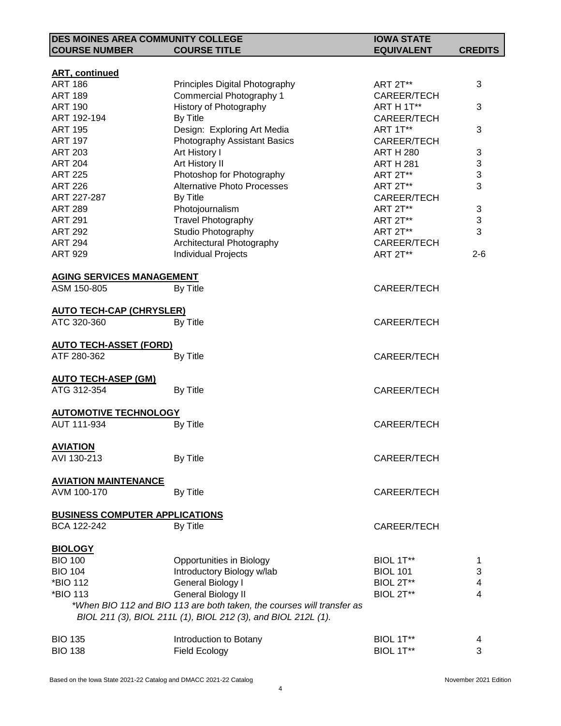| <b>DES MOINES AREA COMMUNITY COLLEGE</b>    |                                                                        | <b>IOWA STATE</b>  |                           |
|---------------------------------------------|------------------------------------------------------------------------|--------------------|---------------------------|
| <b>COURSE NUMBER</b>                        | <b>COURSE TITLE</b>                                                    | <b>EQUIVALENT</b>  | <b>CREDITS</b>            |
|                                             |                                                                        |                    |                           |
| <b>ART, continued</b>                       |                                                                        |                    |                           |
| <b>ART 186</b>                              | Principles Digital Photography                                         | <b>ART 2T**</b>    | 3                         |
| <b>ART 189</b>                              | Commercial Photography 1                                               | CAREER/TECH        |                           |
| <b>ART 190</b>                              | History of Photography                                                 | ART H 1T**         | 3                         |
| ART 192-194                                 | By Title                                                               | CAREER/TECH        |                           |
| <b>ART 195</b>                              | Design: Exploring Art Media                                            | ART 1T**           | 3                         |
| <b>ART 197</b>                              | Photography Assistant Basics                                           | CAREER/TECH        |                           |
| <b>ART 203</b>                              | Art History I                                                          | <b>ART H 280</b>   | 3                         |
| <b>ART 204</b>                              | Art History II                                                         | <b>ART H 281</b>   | $\ensuremath{\mathsf{3}}$ |
| <b>ART 225</b>                              | Photoshop for Photography                                              | <b>ART 2T**</b>    | 3                         |
| <b>ART 226</b>                              | <b>Alternative Photo Processes</b>                                     | <b>ART 2T**</b>    | 3                         |
| ART 227-287                                 | By Title                                                               | CAREER/TECH        |                           |
| <b>ART 289</b>                              | Photojournalism                                                        | ART 2T**           | 3                         |
| <b>ART 291</b>                              | <b>Travel Photography</b>                                              | ART 2T**           | 3                         |
| <b>ART 292</b>                              | Studio Photography                                                     | ART 2T**           | 3                         |
| <b>ART 294</b>                              | Architectural Photography                                              | CAREER/TECH        |                           |
| <b>ART 929</b>                              | <b>Individual Projects</b>                                             | <b>ART 2T**</b>    | $2 - 6$                   |
| <b>AGING SERVICES MANAGEMENT</b>            |                                                                        |                    |                           |
| ASM 150-805                                 | By Title                                                               | CAREER/TECH        |                           |
|                                             |                                                                        |                    |                           |
| <b>AUTO TECH-CAP (CHRYSLER)</b>             |                                                                        |                    |                           |
| ATC 320-360                                 | By Title                                                               | CAREER/TECH        |                           |
|                                             |                                                                        |                    |                           |
| <b>AUTO TECH-ASSET (FORD)</b>               |                                                                        |                    |                           |
| ATF 280-362                                 | By Title                                                               | CAREER/TECH        |                           |
|                                             |                                                                        |                    |                           |
| <b>AUTO TECH-ASEP (GM)</b>                  |                                                                        |                    |                           |
| ATG 312-354                                 | By Title                                                               | CAREER/TECH        |                           |
|                                             |                                                                        |                    |                           |
| <b>AUTOMOTIVE TECHNOLOGY</b><br>AUT 111-934 |                                                                        |                    |                           |
|                                             | By Title                                                               | CAREER/TECH        |                           |
| <b>AVIATION</b>                             |                                                                        |                    |                           |
| AVI 130-213                                 | By Title                                                               | CAREER/TECH        |                           |
|                                             |                                                                        |                    |                           |
| <b>AVIATION MAINTENANCE</b>                 |                                                                        |                    |                           |
| AVM 100-170                                 | By Title                                                               | <b>CAREER/TECH</b> |                           |
| <b>BUSINESS COMPUTER APPLICATIONS</b>       |                                                                        |                    |                           |
| BCA 122-242                                 | By Title                                                               | <b>CAREER/TECH</b> |                           |
|                                             |                                                                        |                    |                           |
| <b>BIOLOGY</b>                              |                                                                        |                    |                           |
| <b>BIO 100</b>                              | Opportunities in Biology                                               | BIOL 1T**          | 1                         |
| <b>BIO 104</b>                              | Introductory Biology w/lab                                             | <b>BIOL 101</b>    | 3                         |
| *BIO 112                                    | General Biology I                                                      | BIOL 2T**          | 4                         |
| *BIO 113                                    | General Biology II                                                     | BIOL 2T**          | 4                         |
|                                             | *When BIO 112 and BIO 113 are both taken, the courses will transfer as |                    |                           |
|                                             | BIOL 211 (3), BIOL 211L (1), BIOL 212 (3), and BIOL 212L (1).          |                    |                           |
|                                             |                                                                        |                    |                           |
| <b>BIO 135</b>                              | Introduction to Botany                                                 | BIOL 1T**          | 4                         |
| <b>BIO 138</b>                              | <b>Field Ecology</b>                                                   | BIOL 1T**          | 3                         |
|                                             |                                                                        |                    |                           |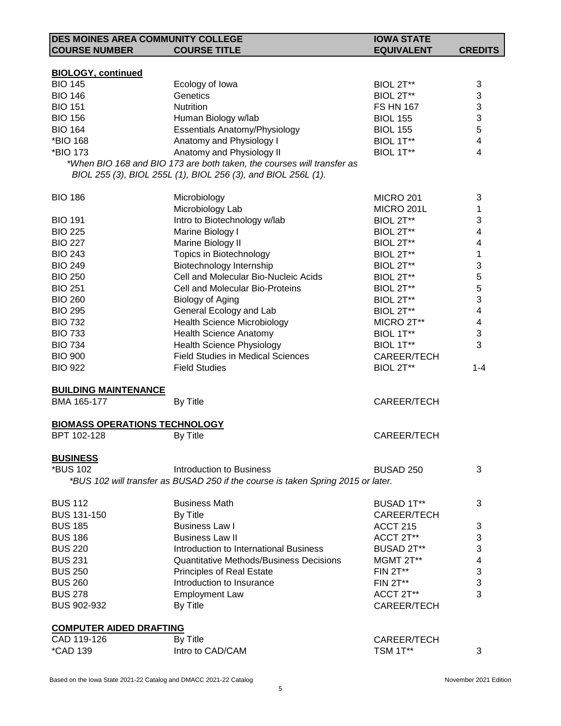| DES MOINES AREA COMMUNITY COLLEGE    |                                                                                  | <b>IOWA STATE</b>    |                |
|--------------------------------------|----------------------------------------------------------------------------------|----------------------|----------------|
| <b>COURSE NUMBER</b>                 | <b>COURSE TITLE</b>                                                              | <b>EQUIVALENT</b>    | <b>CREDITS</b> |
|                                      |                                                                                  |                      |                |
| <b>BIOLOGY, continued</b>            |                                                                                  |                      |                |
| <b>BIO 145</b>                       | Ecology of Iowa                                                                  | BIOL 2T**            | 3              |
| <b>BIO 146</b>                       | Genetics                                                                         | BIOL 2T**            | 3              |
| <b>BIO 151</b>                       | Nutrition                                                                        | <b>FS HN 167</b>     | 3              |
| <b>BIO 156</b>                       | Human Biology w/lab                                                              | <b>BIOL 155</b>      | 3              |
| <b>BIO 164</b>                       | <b>Essentials Anatomy/Physiology</b>                                             | <b>BIOL 155</b>      | 5              |
| *BIO 168                             | Anatomy and Physiology I                                                         | BIOL 1T**            | 4              |
| *BIO 173                             | Anatomy and Physiology II                                                        | BIOL 1T**            | 4              |
|                                      | *When BIO 168 and BIO 173 are both taken, the courses will transfer as           |                      |                |
|                                      | BIOL 255 (3), BIOL 255L (1), BIOL 256 (3), and BIOL 256L (1).                    |                      |                |
|                                      |                                                                                  |                      |                |
| <b>BIO 186</b>                       | Microbiology                                                                     | <b>MICRO 201</b>     | 3              |
|                                      | Microbiology Lab                                                                 | MICRO 201L           | 1              |
| <b>BIO 191</b>                       | Intro to Biotechnology w/lab                                                     | BIOL 2T**            | 3              |
| <b>BIO 225</b>                       | Marine Biology I                                                                 | BIOL 2T**            | 4              |
| <b>BIO 227</b>                       | Marine Biology II                                                                | BIOL 2T**            | 4              |
| <b>BIO 243</b>                       | Topics in Biotechnology                                                          | BIOL 2T**            | 1              |
| <b>BIO 249</b>                       | Biotechnology Internship                                                         | BIOL 2T**            | 3              |
| <b>BIO 250</b>                       | Cell and Molecular Bio-Nucleic Acids                                             | BIOL 2T**            | 5              |
| <b>BIO 251</b>                       | Cell and Molecular Bio-Proteins                                                  | BIOL 2T**            | 5              |
| <b>BIO 260</b>                       | <b>Biology of Aging</b>                                                          | BIOL 2T**            | 3              |
| <b>BIO 295</b>                       | General Ecology and Lab                                                          | BIOL 2T**            | 4              |
| <b>BIO 732</b>                       | <b>Health Science Microbiology</b>                                               | MICRO 2T**           | 4              |
| <b>BIO 733</b>                       | <b>Health Science Anatomy</b>                                                    | BIOL 1T**            | 3              |
| <b>BIO 734</b>                       | <b>Health Science Physiology</b>                                                 | BIOL 1T**            | 3              |
| <b>BIO 900</b>                       | <b>Field Studies in Medical Sciences</b>                                         | CAREER/TECH          |                |
| <b>BIO 922</b>                       | <b>Field Studies</b>                                                             | BIOL 2T**            | $1 - 4$        |
|                                      |                                                                                  |                      |                |
| <b>BUILDING MAINTENANCE</b>          |                                                                                  |                      |                |
| BMA 165-177                          | By Title                                                                         | <b>CAREER/TECH</b>   |                |
|                                      |                                                                                  |                      |                |
| <b>BIOMASS OPERATIONS TECHNOLOGY</b> |                                                                                  |                      |                |
| BPT 102-128                          | By Title                                                                         | <b>CAREER/TECH</b>   |                |
|                                      |                                                                                  |                      |                |
| <b>BUSINESS</b>                      |                                                                                  |                      |                |
| *BUS 102                             | Introduction to Business                                                         | BUSAD <sub>250</sub> | 3              |
|                                      | *BUS 102 will transfer as BUSAD 250 if the course is taken Spring 2015 or later. |                      |                |
|                                      |                                                                                  |                      |                |
| <b>BUS 112</b>                       | <b>Business Math</b>                                                             | <b>BUSAD 1T**</b>    | 3              |
| <b>BUS 131-150</b>                   | By Title                                                                         | <b>CAREER/TECH</b>   |                |
| <b>BUS 185</b>                       | <b>Business Law I</b>                                                            | <b>ACCT 215</b>      | 3              |
| <b>BUS 186</b>                       | <b>Business Law II</b>                                                           | ACCT 2T**            | 3              |
| <b>BUS 220</b>                       | Introduction to International Business                                           | BUSAD 2T**           | 3              |
| <b>BUS 231</b>                       | Quantitative Methods/Business Decisions                                          | MGMT 2T**            | 4              |
| <b>BUS 250</b>                       |                                                                                  | <b>FIN 2T**</b>      | 3              |
| <b>BUS 260</b>                       | <b>Principles of Real Estate</b><br>Introduction to Insurance                    |                      | 3              |
| <b>BUS 278</b>                       |                                                                                  | <b>FIN 2T**</b>      | 3              |
|                                      | <b>Employment Law</b>                                                            | ACCT 2T**            |                |
| BUS 902-932                          | By Title                                                                         | <b>CAREER/TECH</b>   |                |
|                                      |                                                                                  |                      |                |
| <b>COMPUTER AIDED DRAFTING</b>       |                                                                                  |                      |                |
| CAD 119-126                          | By Title                                                                         | CAREER/TECH          |                |
| <i><b>*CAD 139</b></i>               | Intro to CAD/CAM                                                                 | <b>TSM 1T**</b>      | 3              |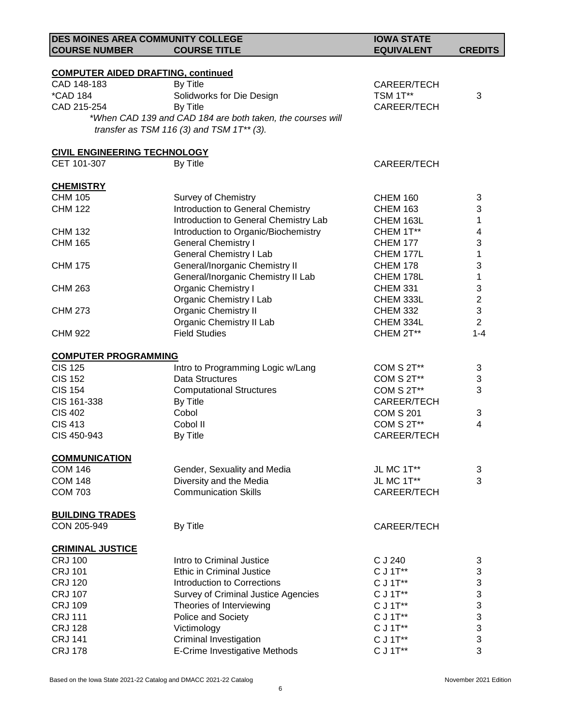| DES MOINES AREA COMMUNITY COLLEGE         |                                                            | <b>IOWA STATE</b> |                |
|-------------------------------------------|------------------------------------------------------------|-------------------|----------------|
| <b>COURSE NUMBER</b>                      | <b>COURSE TITLE</b>                                        | <b>EQUIVALENT</b> | <b>CREDITS</b> |
| <b>COMPUTER AIDED DRAFTING, continued</b> |                                                            |                   |                |
| CAD 148-183                               | By Title                                                   | CAREER/TECH       |                |
| <i><b>*CAD 184</b></i>                    | Solidworks for Die Design                                  | TSM 1T**          | 3              |
| CAD 215-254                               | By Title                                                   | CAREER/TECH       |                |
|                                           | *When CAD 139 and CAD 184 are both taken, the courses will |                   |                |
|                                           | transfer as TSM 116 (3) and TSM $1T^{**}$ (3).             |                   |                |
| <b>CIVIL ENGINEERING TECHNOLOGY</b>       |                                                            |                   |                |
| CET 101-307                               | By Title                                                   | CAREER/TECH       |                |
| <b>CHEMISTRY</b>                          |                                                            |                   |                |
| <b>CHM 105</b>                            | <b>Survey of Chemistry</b>                                 | <b>CHEM 160</b>   | 3              |
| <b>CHM 122</b>                            | Introduction to General Chemistry                          | <b>CHEM 163</b>   | 3              |
|                                           | Introduction to General Chemistry Lab                      | CHEM 163L         | 1              |
| <b>CHM 132</b>                            | Introduction to Organic/Biochemistry                       | CHEM 1T**         | 4              |
| <b>CHM 165</b>                            | <b>General Chemistry I</b>                                 | <b>CHEM 177</b>   | 3              |
|                                           | <b>General Chemistry I Lab</b>                             | CHEM 177L         | 1              |
| <b>CHM 175</b>                            | General/Inorganic Chemistry II                             | <b>CHEM 178</b>   | 3              |
|                                           | General/Inorganic Chemistry II Lab                         | CHEM 178L         | 1              |
| <b>CHM 263</b>                            | Organic Chemistry I                                        | <b>CHEM 331</b>   | 3              |
|                                           | Organic Chemistry I Lab                                    | CHEM 333L         | $\overline{2}$ |
| <b>CHM 273</b>                            | <b>Organic Chemistry II</b>                                | <b>CHEM 332</b>   | 3              |
|                                           | Organic Chemistry II Lab                                   | CHEM 334L         | $\overline{2}$ |
| <b>CHM 922</b>                            | <b>Field Studies</b>                                       | CHEM 2T**         | $1 - 4$        |
| <b>COMPUTER PROGRAMMING</b>               |                                                            |                   |                |
| <b>CIS 125</b>                            | Intro to Programming Logic w/Lang                          | COM S 2T**        | 3              |
| <b>CIS 152</b>                            | <b>Data Structures</b>                                     | COM S 2T**        | 3              |
| <b>CIS 154</b>                            | <b>Computational Structures</b>                            | COM S 2T**        | 3              |
| CIS 161-338                               | By Title                                                   | CAREER/TECH       |                |
| <b>CIS 402</b>                            | Cobol                                                      | <b>COM S 201</b>  | 3              |
| <b>CIS 413</b>                            | Cobol II                                                   | COM S 2T**        | 4              |
| CIS 450-943                               | By Title                                                   | CAREER/TECH       |                |
| <b>COMMUNICATION</b>                      |                                                            |                   |                |
| <b>COM 146</b>                            | Gender, Sexuality and Media                                | JL MC 1T**        | 3              |
| <b>COM 148</b>                            | Diversity and the Media                                    | JL MC 1T**        | 3              |
| <b>COM 703</b>                            | <b>Communication Skills</b>                                | CAREER/TECH       |                |
| <b>BUILDING TRADES</b>                    |                                                            |                   |                |
| CON 205-949                               | By Title                                                   | CAREER/TECH       |                |
| <b>CRIMINAL JUSTICE</b>                   |                                                            |                   |                |
| <b>CRJ 100</b>                            | Intro to Criminal Justice                                  | C J 240           | 3              |
| <b>CRJ 101</b>                            | Ethic in Criminal Justice                                  | C J 1T**          | 3              |
| <b>CRJ 120</b>                            | <b>Introduction to Corrections</b>                         | C J 1T**          | 3              |
| <b>CRJ 107</b>                            | <b>Survey of Criminal Justice Agencies</b>                 | C J 1T**          | 3              |
| <b>CRJ 109</b>                            | Theories of Interviewing                                   | C J 1T**          | 3              |
| <b>CRJ 111</b>                            | Police and Society                                         | C J 1T**          | 3              |
| <b>CRJ 128</b>                            | Victimology                                                | C J 1T**          | 3              |
| <b>CRJ 141</b>                            | <b>Criminal Investigation</b>                              | C J 1T**          | 3              |
| <b>CRJ 178</b>                            | E-Crime Investigative Methods                              | C J 1T**          | 3              |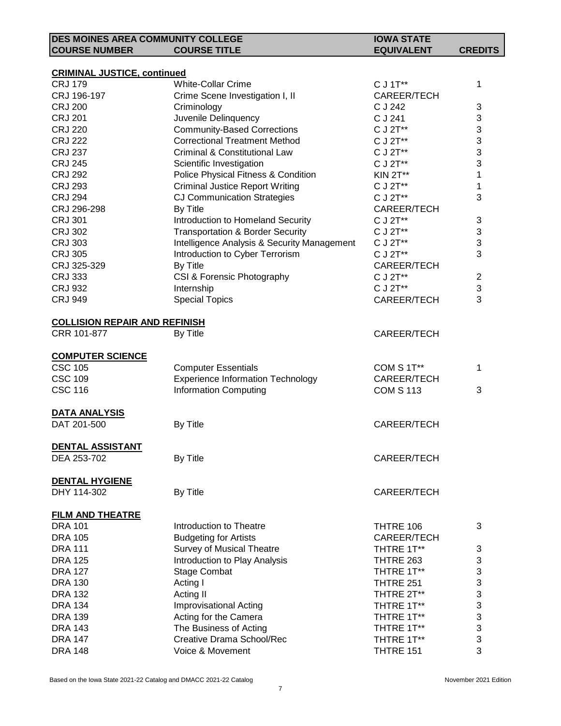| <b>DES MOINES AREA COMMUNITY COLLEGE</b> |                                             | <b>IOWA STATE</b>  |                |
|------------------------------------------|---------------------------------------------|--------------------|----------------|
| <b>COURSE NUMBER</b>                     | <b>COURSE TITLE</b>                         | <b>EQUIVALENT</b>  | <b>CREDITS</b> |
|                                          |                                             |                    |                |
| <b>CRIMINAL JUSTICE, continued</b>       |                                             |                    |                |
| <b>CRJ 179</b>                           | <b>White-Collar Crime</b>                   | C J 1T**           | 1              |
| CRJ 196-197                              | Crime Scene Investigation I, II             | CAREER/TECH        |                |
| <b>CRJ 200</b>                           | Criminology                                 | C J 242            | 3              |
| <b>CRJ 201</b>                           | Juvenile Delinquency                        | C J 241            | 3              |
| <b>CRJ 220</b>                           | <b>Community-Based Corrections</b>          | C J 2T**           | 3              |
| <b>CRJ 222</b>                           | <b>Correctional Treatment Method</b>        | C J 2T**           | 3              |
| <b>CRJ 237</b>                           | Criminal & Constitutional Law               | C J 2T**           | 3              |
| <b>CRJ 245</b>                           | Scientific Investigation                    | C J 2T**           | 3              |
| <b>CRJ 292</b>                           | Police Physical Fitness & Condition         | <b>KIN 2T**</b>    | 1              |
| <b>CRJ 293</b>                           | <b>Criminal Justice Report Writing</b>      | C J 2T**           | 1              |
| <b>CRJ 294</b>                           | <b>CJ Communication Strategies</b>          | C J 2T**           | 3              |
| CRJ 296-298                              | By Title                                    | CAREER/TECH        |                |
| <b>CRJ 301</b>                           | Introduction to Homeland Security           | C J 2T**           | 3              |
| <b>CRJ 302</b>                           | <b>Transportation &amp; Border Security</b> | C J 2T**           | 3              |
| <b>CRJ 303</b>                           | Intelligence Analysis & Security Management | C J 2T**           | 3              |
| <b>CRJ 305</b>                           | Introduction to Cyber Terrorism             | C J 2T**           | 3              |
| CRJ 325-329                              | By Title                                    | CAREER/TECH        |                |
| <b>CRJ 333</b>                           | CSI & Forensic Photography                  | C J 2T**           | $\overline{2}$ |
| <b>CRJ 932</b>                           | Internship                                  | C J 2T**           | 3              |
| <b>CRJ 949</b>                           | <b>Special Topics</b>                       | CAREER/TECH        | 3              |
|                                          |                                             |                    |                |
| <b>COLLISION REPAIR AND REFINISH</b>     |                                             |                    |                |
| CRR 101-877                              | By Title                                    | <b>CAREER/TECH</b> |                |
|                                          |                                             |                    |                |
| <b>COMPUTER SCIENCE</b>                  |                                             |                    |                |
| <b>CSC 105</b>                           | <b>Computer Essentials</b>                  | COM S 1T**         | 1              |
| <b>CSC 109</b>                           | <b>Experience Information Technology</b>    | CAREER/TECH        |                |
| <b>CSC 116</b>                           | <b>Information Computing</b>                | <b>COM S 113</b>   | 3              |
|                                          |                                             |                    |                |
| <b>DATA ANALYSIS</b>                     |                                             |                    |                |
| DAT 201-500                              | By Title                                    | CAREER/TECH        |                |
|                                          |                                             |                    |                |
| DENTAL ASSISTANT                         |                                             |                    |                |
| DEA 253-702                              | By Title                                    | <b>CAREER/TECH</b> |                |
|                                          |                                             |                    |                |
| <b>DENTAL HYGIENE</b>                    |                                             |                    |                |
| DHY 114-302                              | By Title                                    | <b>CAREER/TECH</b> |                |
|                                          |                                             |                    |                |
| <b>FILM AND THEATRE</b>                  |                                             |                    |                |
| <b>DRA 101</b>                           | Introduction to Theatre                     | THTRE 106          | 3              |
| <b>DRA 105</b>                           | <b>Budgeting for Artists</b>                | <b>CAREER/TECH</b> |                |
| <b>DRA 111</b>                           | <b>Survey of Musical Theatre</b>            | THTRE 1T**         | 3              |
| <b>DRA 125</b>                           | Introduction to Play Analysis               | THTRE 263          | 3              |
| <b>DRA 127</b>                           | <b>Stage Combat</b>                         | THTRE 1T**         | 3              |
| <b>DRA 130</b>                           | Acting I                                    | <b>THTRE 251</b>   | 3              |
| <b>DRA 132</b>                           | Acting II                                   | THTRE 2T**         | 3              |
| <b>DRA 134</b>                           | <b>Improvisational Acting</b>               | THTRE 1T**         | 3              |
| <b>DRA 139</b>                           | Acting for the Camera                       | THTRE 1T**         | 3              |
| <b>DRA 143</b>                           | The Business of Acting                      | THTRE 1T**         | 3              |
| <b>DRA 147</b>                           | Creative Drama School/Rec                   | THTRE 1T**         | 3              |
| <b>DRA 148</b>                           | Voice & Movement                            | THTRE 151          | 3              |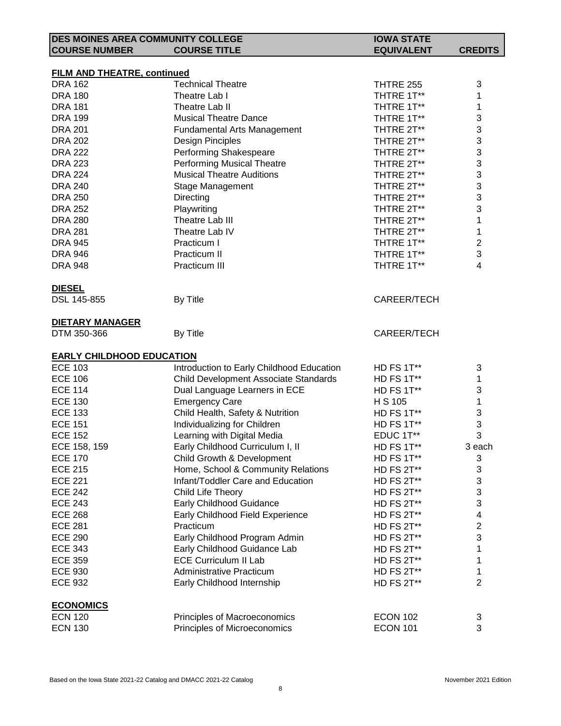| <b>DES MOINES AREA COMMUNITY COLLEGE</b> |                                           | <b>IOWA STATE</b> |                         |
|------------------------------------------|-------------------------------------------|-------------------|-------------------------|
| <b>COURSE NUMBER</b>                     | <b>COURSE TITLE</b>                       | <b>EQUIVALENT</b> | <b>CREDITS</b>          |
|                                          |                                           |                   |                         |
| <b>FILM AND THEATRE, continued</b>       |                                           |                   |                         |
| <b>DRA 162</b>                           | <b>Technical Theatre</b>                  | <b>THTRE 255</b>  | 3                       |
| <b>DRA 180</b>                           | Theatre Lab I                             | THTRE 1T**        | 1                       |
| <b>DRA 181</b>                           | Theatre Lab II                            | THTRE 1T**        | 1                       |
| <b>DRA 199</b>                           | <b>Musical Theatre Dance</b>              | THTRE 1T**        | 3                       |
| <b>DRA 201</b>                           | <b>Fundamental Arts Management</b>        | THTRE 2T**        | 3                       |
| <b>DRA 202</b>                           | Design Pinciples                          | THTRE 2T**        | 3                       |
| <b>DRA 222</b>                           | Performing Shakespeare                    | THTRE 2T**        | 3                       |
| <b>DRA 223</b>                           | <b>Performing Musical Theatre</b>         | THTRE 2T**        | 3                       |
| <b>DRA 224</b>                           | <b>Musical Theatre Auditions</b>          | THTRE 2T**        | 3                       |
| <b>DRA 240</b>                           | Stage Management                          | THTRE 2T**        | 3                       |
| <b>DRA 250</b>                           | Directing                                 | THTRE 2T**        | 3                       |
| <b>DRA 252</b>                           | Playwriting                               | THTRE 2T**        | 3                       |
| <b>DRA 280</b>                           | Theatre Lab III                           | THTRE 2T**        | 1                       |
| <b>DRA 281</b>                           | Theatre Lab IV                            | THTRE 2T**        | 1                       |
| <b>DRA 945</b>                           | Practicum I                               | THTRE 1T**        | $\overline{c}$          |
| <b>DRA 946</b>                           | Practicum II                              | THTRE 1T**        | 3                       |
| <b>DRA 948</b>                           | Practicum III                             | THTRE 1T**        | $\overline{\mathbf{4}}$ |
| <b>DIESEL</b>                            |                                           |                   |                         |
| DSL 145-855                              | By Title                                  | CAREER/TECH       |                         |
|                                          |                                           |                   |                         |
| <b>DIETARY MANAGER</b>                   |                                           |                   |                         |
| DTM 350-366                              | By Title                                  | CAREER/TECH       |                         |
| <b>EARLY CHILDHOOD EDUCATION</b>         |                                           |                   |                         |
| <b>ECE 103</b>                           | Introduction to Early Childhood Education | HD FS 1T**        | 3                       |
| <b>ECE 106</b>                           | Child Development Associate Standards     | HD FS 1T**        | 1                       |
| <b>ECE 114</b>                           | Dual Language Learners in ECE             | HD FS 1T**        | 3                       |
| <b>ECE 130</b>                           | <b>Emergency Care</b>                     | H S 105           | 1                       |
| <b>ECE 133</b>                           | Child Health, Safety & Nutrition          | HD FS 1T**        | 3                       |
| <b>ECE 151</b>                           | Individualizing for Children              | HD FS 1T**        | 3                       |
| <b>ECE 152</b>                           | Learning with Digital Media               | EDUC 1T**         | 3                       |
| ECE 158, 159                             | Early Childhood Curriculum I, II          | HD FS 1T**        | 3 each                  |
| <b>ECE 170</b>                           | Child Growth & Development                | HD FS 1T**        | 3                       |
| <b>ECE 215</b>                           | Home, School & Community Relations        | HD FS 2T**        | 3                       |
| <b>ECE 221</b>                           | Infant/Toddler Care and Education         | HD FS 2T**        | 3                       |
| <b>ECE 242</b>                           | Child Life Theory                         | HD FS 2T**        | 3                       |
| <b>ECE 243</b>                           | Early Childhood Guidance                  | HD FS 2T**        | 3                       |
| <b>ECE 268</b>                           | Early Childhood Field Experience          | HD FS 2T**        | 4                       |
| <b>ECE 281</b>                           | Practicum                                 |                   | $\overline{c}$          |
|                                          |                                           | HD FS 2T**        |                         |
| <b>ECE 290</b>                           | Early Childhood Program Admin             | HD FS 2T**        | 3                       |
| <b>ECE 343</b>                           | Early Childhood Guidance Lab              | HD FS 2T**        | 1                       |
| <b>ECE 359</b>                           | <b>ECE Curriculum II Lab</b>              | HD FS 2T**        | 1                       |
| <b>ECE 930</b>                           | <b>Administrative Practicum</b>           | HD FS 2T**        | 1                       |
| <b>ECE 932</b>                           | Early Childhood Internship                | HD FS 2T**        | $\overline{2}$          |
| <b>ECONOMICS</b>                         |                                           |                   |                         |
| <b>ECN 120</b>                           | Principles of Macroeconomics              | <b>ECON 102</b>   | 3                       |
| <b>ECN 130</b>                           | Principles of Microeconomics              | <b>ECON 101</b>   | 3                       |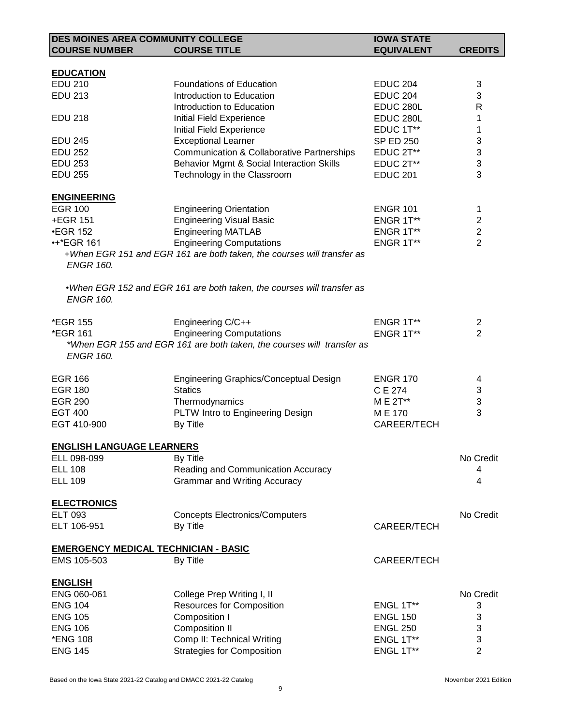| DES MOINES AREA COMMUNITY COLLEGE           |                                                                         | <b>IOWA STATE</b>  |                |
|---------------------------------------------|-------------------------------------------------------------------------|--------------------|----------------|
| <b>COURSE NUMBER</b>                        | <b>COURSE TITLE</b>                                                     | <b>EQUIVALENT</b>  | <b>CREDITS</b> |
|                                             |                                                                         |                    |                |
| <b>EDUCATION</b>                            |                                                                         |                    |                |
| <b>EDU 210</b>                              | <b>Foundations of Education</b>                                         | <b>EDUC 204</b>    | 3              |
| <b>EDU 213</b>                              | Introduction to Education                                               | <b>EDUC 204</b>    | 3              |
|                                             | Introduction to Education                                               | EDUC 280L          | R              |
|                                             |                                                                         | EDUC 280L          |                |
| <b>EDU 218</b>                              | Initial Field Experience                                                |                    | 1              |
|                                             | Initial Field Experience                                                | EDUC 1T**          | 1              |
| <b>EDU 245</b>                              | <b>Exceptional Learner</b>                                              | <b>SP ED 250</b>   | 3              |
| <b>EDU 252</b>                              | <b>Communication &amp; Collaborative Partnerships</b>                   | EDUC 2T**          | 3              |
| <b>EDU 253</b>                              | Behavior Mgmt & Social Interaction Skills                               | EDUC 2T**          | 3              |
| <b>EDU 255</b>                              | Technology in the Classroom                                             | <b>EDUC 201</b>    | 3              |
| <b>ENGINEERING</b>                          |                                                                         |                    |                |
| <b>EGR 100</b>                              | <b>Engineering Orientation</b>                                          | <b>ENGR 101</b>    | 1              |
| +EGR 151                                    | <b>Engineering Visual Basic</b>                                         | ENGR 1T**          | $\overline{2}$ |
| <b>•EGR 152</b>                             | <b>Engineering MATLAB</b>                                               | ENGR 1T**          | $\overline{2}$ |
|                                             | <b>Engineering Computations</b>                                         |                    | $\overline{2}$ |
| <b>***EGR 161</b>                           |                                                                         | ENGR 1T**          |                |
|                                             | +When EGR 151 and EGR 161 are both taken, the courses will transfer as  |                    |                |
| <b>ENGR 160.</b>                            |                                                                         |                    |                |
|                                             | . When EGR 152 and EGR 161 are both taken, the courses will transfer as |                    |                |
| <b>ENGR 160.</b>                            |                                                                         |                    |                |
|                                             |                                                                         |                    |                |
| <i><b>*EGR 155</b></i>                      | Engineering C/C++                                                       | ENGR 1T**          | 2              |
| *EGR 161                                    | <b>Engineering Computations</b>                                         | ENGR 1T**          | $\overline{2}$ |
|                                             | *When EGR 155 and EGR 161 are both taken, the courses will transfer as  |                    |                |
| <b>ENGR 160.</b>                            |                                                                         |                    |                |
|                                             |                                                                         |                    |                |
| <b>EGR 166</b>                              | Engineering Graphics/Conceptual Design                                  | <b>ENGR 170</b>    | 4              |
| <b>EGR 180</b>                              | <b>Statics</b>                                                          | C E 274            | 3              |
|                                             |                                                                         |                    | $\sqrt{3}$     |
| <b>EGR 290</b>                              | Thermodynamics                                                          | M E 2T**           |                |
| <b>EGT 400</b>                              | PLTW Intro to Engineering Design                                        | M E 170            | 3              |
| EGT 410-900                                 | By Title                                                                | CAREER/TECH        |                |
| <b>ENGLISH LANGUAGE LEARNERS</b>            |                                                                         |                    |                |
| ELL 098-099                                 | By Title                                                                |                    | No Credit      |
| <b>ELL 108</b>                              | Reading and Communication Accuracy                                      |                    | 4              |
| <b>ELL 109</b>                              | <b>Grammar and Writing Accuracy</b>                                     |                    | 4              |
|                                             |                                                                         |                    |                |
| <b>ELECTRONICS</b>                          |                                                                         |                    |                |
| <b>ELT 093</b>                              | <b>Concepts Electronics/Computers</b>                                   |                    | No Credit      |
| ELT 106-951                                 | By Title                                                                | <b>CAREER/TECH</b> |                |
|                                             |                                                                         |                    |                |
| <b>EMERGENCY MEDICAL TECHNICIAN - BASIC</b> |                                                                         |                    |                |
| EMS 105-503                                 | By Title                                                                | CAREER/TECH        |                |
|                                             |                                                                         |                    |                |
| <b>ENGLISH</b>                              |                                                                         |                    |                |
| ENG 060-061                                 | College Prep Writing I, II                                              |                    | No Credit      |
| <b>ENG 104</b>                              | <b>Resources for Composition</b>                                        | ENGL 1T**          | 3              |
| <b>ENG 105</b>                              | Composition I                                                           | <b>ENGL 150</b>    | 3              |
| <b>ENG 106</b>                              | <b>Composition II</b>                                                   | <b>ENGL 250</b>    | 3              |
| *ENG 108                                    | Comp II: Technical Writing                                              | ENGL 1T**          | 3              |
| <b>ENG 145</b>                              | <b>Strategies for Composition</b>                                       | ENGL 1T**          | $\overline{2}$ |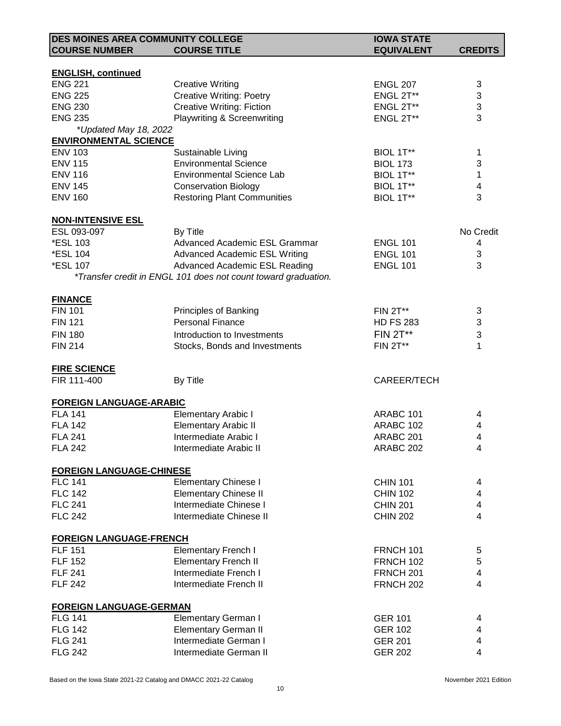| DES MOINES AREA COMMUNITY COLLEGE |                                                                | <b>IOWA STATE</b> |                           |
|-----------------------------------|----------------------------------------------------------------|-------------------|---------------------------|
| <b>COURSE NUMBER</b>              | <b>COURSE TITLE</b>                                            | <b>EQUIVALENT</b> | <b>CREDITS</b>            |
|                                   |                                                                |                   |                           |
| <b>ENGLISH, continued</b>         |                                                                |                   |                           |
| <b>ENG 221</b>                    | <b>Creative Writing</b>                                        | <b>ENGL 207</b>   | 3                         |
| <b>ENG 225</b>                    | <b>Creative Writing: Poetry</b>                                | ENGL 2T**         | $\ensuremath{\mathsf{3}}$ |
| <b>ENG 230</b>                    | <b>Creative Writing: Fiction</b>                               | ENGL 2T**         | 3                         |
| <b>ENG 235</b>                    | <b>Playwriting &amp; Screenwriting</b>                         | ENGL 2T**         | 3                         |
| *Updated May 18, 2022             |                                                                |                   |                           |
| <b>ENVIRONMENTAL SCIENCE</b>      |                                                                |                   |                           |
| <b>ENV 103</b>                    | Sustainable Living                                             | BIOL 1T**         | 1                         |
| <b>ENV 115</b>                    | <b>Environmental Science</b>                                   | <b>BIOL 173</b>   | 3                         |
| <b>ENV 116</b>                    | <b>Environmental Science Lab</b>                               | BIOL 1T**         | 1                         |
| <b>ENV 145</b>                    | <b>Conservation Biology</b>                                    | BIOL 1T**         | 4                         |
| <b>ENV 160</b>                    | <b>Restoring Plant Communities</b>                             | BIOL 1T**         | 3                         |
| <b>NON-INTENSIVE ESL</b>          |                                                                |                   |                           |
| ESL 093-097                       | By Title                                                       |                   | No Credit                 |
| *ESL 103                          | Advanced Academic ESL Grammar                                  | <b>ENGL 101</b>   | 4                         |
| *ESL 104                          | <b>Advanced Academic ESL Writing</b>                           | <b>ENGL 101</b>   | 3                         |
| *ESL 107                          | Advanced Academic ESL Reading                                  | <b>ENGL 101</b>   | 3                         |
|                                   | *Transfer credit in ENGL 101 does not count toward graduation. |                   |                           |
| <b>FINANCE</b>                    |                                                                |                   |                           |
| <b>FIN 101</b>                    | Principles of Banking                                          | <b>FIN 2T**</b>   | 3                         |
| <b>FIN 121</b>                    | <b>Personal Finance</b>                                        | <b>HD FS 283</b>  | 3                         |
| <b>FIN 180</b>                    | Introduction to Investments                                    | <b>FIN 2T**</b>   | 3                         |
| <b>FIN 214</b>                    | Stocks, Bonds and Investments                                  | <b>FIN 2T**</b>   | 1                         |
| <b>FIRE SCIENCE</b>               |                                                                |                   |                           |
| FIR 111-400                       | By Title                                                       | CAREER/TECH       |                           |
| <b>FOREIGN LANGUAGE-ARABIC</b>    |                                                                |                   |                           |
| <b>FLA 141</b>                    | <b>Elementary Arabic I</b>                                     | ARABC 101         | 4                         |
| <b>FLA 142</b>                    | <b>Elementary Arabic II</b>                                    | ARABC 102         | 4                         |
| <b>FLA 241</b>                    | Intermediate Arabic I                                          | ARABC 201         | 4                         |
| <b>FLA 242</b>                    | Intermediate Arabic II                                         | ARABC 202         | 4                         |
| <b>FOREIGN LANGUAGE-CHINESE</b>   |                                                                |                   |                           |
| <b>FLC 141</b>                    | <b>Elementary Chinese I</b>                                    | <b>CHIN 101</b>   | 4                         |
| <b>FLC 142</b>                    | <b>Elementary Chinese II</b>                                   | <b>CHIN 102</b>   | 4                         |
| <b>FLC 241</b>                    | Intermediate Chinese I                                         | <b>CHIN 201</b>   | 4                         |
| <b>FLC 242</b>                    | Intermediate Chinese II                                        | <b>CHIN 202</b>   | 4                         |
| <b>FOREIGN LANGUAGE-FRENCH</b>    |                                                                |                   |                           |
| <b>FLF 151</b>                    | <b>Elementary French I</b>                                     | <b>FRNCH 101</b>  | 5                         |
| <b>FLF 152</b>                    | <b>Elementary French II</b>                                    | <b>FRNCH 102</b>  | 5                         |
| <b>FLF 241</b>                    | Intermediate French I                                          | <b>FRNCH 201</b>  | 4                         |
| <b>FLF 242</b>                    | Intermediate French II                                         | <b>FRNCH 202</b>  | $\overline{\mathbf{4}}$   |
| <b>FOREIGN LANGUAGE-GERMAN</b>    |                                                                |                   |                           |
| <b>FLG 141</b>                    | <b>Elementary German I</b>                                     | <b>GER 101</b>    | 4                         |
| <b>FLG 142</b>                    | <b>Elementary German II</b>                                    | <b>GER 102</b>    | 4                         |
| <b>FLG 241</b>                    | Intermediate German I                                          | <b>GER 201</b>    | 4                         |
| <b>FLG 242</b>                    | Intermediate German II                                         | <b>GER 202</b>    | 4                         |
|                                   |                                                                |                   |                           |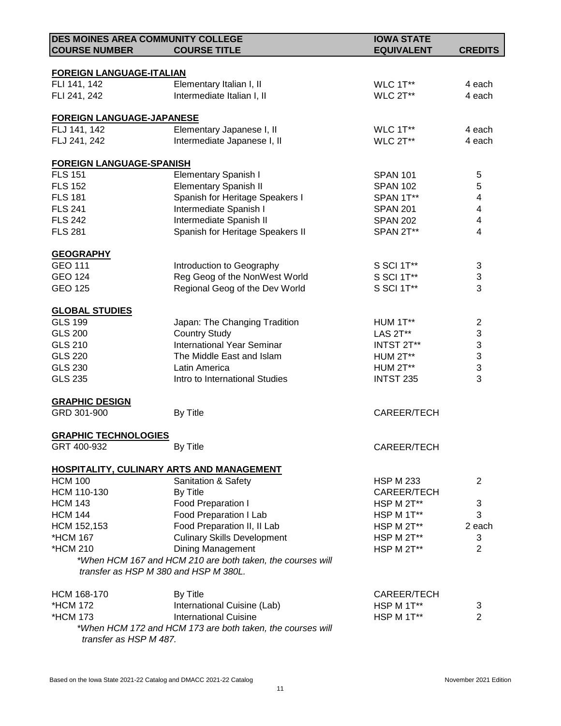| <b>DES MOINES AREA COMMUNITY COLLEGE</b>          |                                                            | <b>IOWA STATE</b> |                           |
|---------------------------------------------------|------------------------------------------------------------|-------------------|---------------------------|
| <b>COURSE NUMBER</b>                              | <b>COURSE TITLE</b>                                        | <b>EQUIVALENT</b> | <b>CREDITS</b>            |
|                                                   |                                                            |                   |                           |
| <b>FOREIGN LANGUAGE-ITALIAN</b><br>FLI 141, 142   | Elementary Italian I, II                                   | WLC 1T**          | 4 each                    |
| FLI 241, 242                                      | Intermediate Italian I, II                                 | WLC 2T**          | 4 each                    |
|                                                   |                                                            |                   |                           |
| <b>FOREIGN LANGUAGE-JAPANESE</b>                  |                                                            |                   |                           |
| FLJ 141, 142                                      | Elementary Japanese I, II                                  | WLC 1T**          | 4 each                    |
| FLJ 241, 242                                      | Intermediate Japanese I, II                                | WLC 2T**          | 4 each                    |
|                                                   |                                                            |                   |                           |
| <b>FOREIGN LANGUAGE-SPANISH</b><br><b>FLS 151</b> | <b>Elementary Spanish I</b>                                | <b>SPAN 101</b>   | 5                         |
| <b>FLS 152</b>                                    |                                                            |                   |                           |
|                                                   | <b>Elementary Spanish II</b>                               | <b>SPAN 102</b>   | 5                         |
| <b>FLS 181</b>                                    | Spanish for Heritage Speakers I                            | SPAN 1T**         | $\overline{\mathcal{A}}$  |
| <b>FLS 241</b>                                    | Intermediate Spanish I                                     | <b>SPAN 201</b>   | 4                         |
| <b>FLS 242</b>                                    | Intermediate Spanish II                                    | <b>SPAN 202</b>   | $\overline{\mathbf{4}}$   |
| <b>FLS 281</b>                                    | Spanish for Heritage Speakers II                           | SPAN 2T**         | 4                         |
| <b>GEOGRAPHY</b>                                  |                                                            |                   |                           |
| GEO 111                                           | Introduction to Geography                                  | S SCI 1T**        | 3                         |
| <b>GEO 124</b>                                    | Reg Geog of the NonWest World                              | S SCI 1T**        | $\ensuremath{\mathsf{3}}$ |
| <b>GEO 125</b>                                    | Regional Geog of the Dev World                             | S SCI 1T**        | 3                         |
|                                                   |                                                            |                   |                           |
| <b>GLOBAL STUDIES</b>                             |                                                            |                   |                           |
| <b>GLS 199</b>                                    | Japan: The Changing Tradition                              | HUM 1T**          | $\overline{c}$            |
| <b>GLS 200</b>                                    | <b>Country Study</b>                                       | LAS 2T**          | $\ensuremath{\mathsf{3}}$ |
| <b>GLS 210</b>                                    | <b>International Year Seminar</b>                          | INTST 2T**        | 3                         |
| <b>GLS 220</b>                                    | The Middle East and Islam                                  | <b>HUM 2T**</b>   | $\mathfrak{S}$            |
| <b>GLS 230</b>                                    | Latin America                                              | HUM 2T**          | 3                         |
| <b>GLS 235</b>                                    | Intro to International Studies                             | <b>INTST 235</b>  | 3                         |
| <b>GRAPHIC DESIGN</b>                             |                                                            |                   |                           |
| GRD 301-900                                       | By Title                                                   | CAREER/TECH       |                           |
|                                                   |                                                            |                   |                           |
| <b>GRAPHIC TECHNOLOGIES</b><br>GRT 400-932        | By Title                                                   | CAREER/TECH       |                           |
|                                                   |                                                            |                   |                           |
|                                                   | HOSPITALITY, CULINARY ARTS AND MANAGEMENT                  |                   |                           |
| <b>HCM 100</b>                                    | <b>Sanitation &amp; Safety</b>                             | <b>HSP M 233</b>  | $\overline{2}$            |
| HCM 110-130                                       | By Title                                                   | CAREER/TECH       |                           |
| <b>HCM 143</b>                                    | Food Preparation I                                         | HSP M 2T**        | 3                         |
| <b>HCM 144</b>                                    | Food Preparation I Lab                                     | HSP M 1T**        | 3                         |
| HCM 152,153                                       | Food Preparation II, II Lab                                | HSP M 2T**        | 2 each                    |
| *HCM 167                                          | <b>Culinary Skills Development</b>                         | HSP M 2T**        | 3                         |
| *HCM 210                                          | Dining Management                                          | HSP M 2T**        | $\overline{2}$            |
|                                                   | *When HCM 167 and HCM 210 are both taken, the courses will |                   |                           |
|                                                   | transfer as HSP M 380 and HSP M 380L.                      |                   |                           |
|                                                   |                                                            |                   |                           |
| HCM 168-170                                       | By Title                                                   | CAREER/TECH       |                           |
| *HCM 172                                          | International Cuisine (Lab)                                | HSP M 1T**        | 3                         |
| *HCM 173                                          | <b>International Cuisine</b>                               | HSP M 1T**        | $\overline{2}$            |
| transfer as HSP M 487.                            | *When HCM 172 and HCM 173 are both taken, the courses will |                   |                           |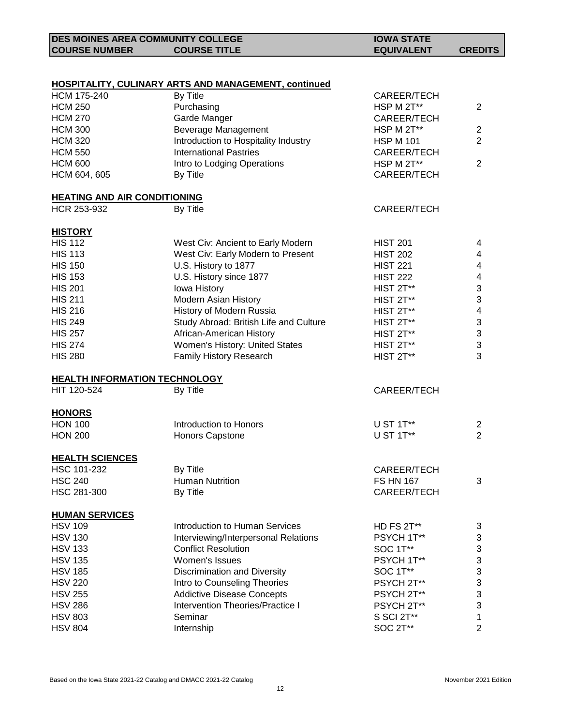| <b>DES MOINES AREA COMMUNITY COLLEGE</b> |                     | <b>IOWA STATE</b> |                |
|------------------------------------------|---------------------|-------------------|----------------|
| <b>COURSE NUMBER</b>                     | <b>COURSE TITLE</b> | <b>EQUIVALENT</b> | <b>CREDITS</b> |

#### **HOSPITALITY, CULINARY ARTS AND MANAGEMENT, continued**

| <b>HCM 175-240</b>                   | By Title                               | CAREER/TECH      |                           |
|--------------------------------------|----------------------------------------|------------------|---------------------------|
| <b>HCM 250</b>                       | Purchasing                             | HSP M 2T**       | $\overline{2}$            |
| <b>HCM 270</b>                       | Garde Manger                           | CAREER/TECH      |                           |
| <b>HCM 300</b>                       | Beverage Management                    | HSP M 2T**       | $\mathbf 2$               |
| <b>HCM 320</b>                       | Introduction to Hospitality Industry   | <b>HSP M 101</b> | $\overline{2}$            |
| <b>HCM 550</b>                       | <b>International Pastries</b>          | CAREER/TECH      |                           |
| <b>HCM 600</b>                       | Intro to Lodging Operations            | HSP M 2T**       | $\overline{2}$            |
| HCM 604, 605                         | By Title                               | CAREER/TECH      |                           |
| <b>HEATING AND AIR CONDITIONING</b>  |                                        |                  |                           |
| HCR 253-932                          | By Title                               | CAREER/TECH      |                           |
| <b>HISTORY</b>                       |                                        |                  |                           |
| <b>HIS 112</b>                       | West Civ: Ancient to Early Modern      | <b>HIST 201</b>  | $\overline{\mathbf{4}}$   |
| <b>HIS 113</b>                       | West Civ: Early Modern to Present      | <b>HIST 202</b>  | $\overline{\mathbf{4}}$   |
| <b>HIS 150</b>                       | U.S. History to 1877                   | <b>HIST 221</b>  | $\overline{\mathbf{4}}$   |
| <b>HIS 153</b>                       | U.S. History since 1877                | <b>HIST 222</b>  | $\overline{\mathbf{4}}$   |
| <b>HIS 201</b>                       | Iowa History                           | HIST 2T**        | $\ensuremath{\mathsf{3}}$ |
| <b>HIS 211</b>                       | Modern Asian History                   | HIST 2T**        | $\ensuremath{\mathsf{3}}$ |
| <b>HIS 216</b>                       | History of Modern Russia               | HIST 2T**        | 4                         |
| <b>HIS 249</b>                       | Study Abroad: British Life and Culture | HIST 2T**        | $\sqrt{3}$                |
| <b>HIS 257</b>                       | African-American History               | HIST 2T**        | $\ensuremath{\mathsf{3}}$ |
| <b>HIS 274</b>                       | Women's History: United States         | HIST 2T**        | $\sqrt{3}$                |
| <b>HIS 280</b>                       | <b>Family History Research</b>         | HIST 2T**        | 3                         |
| <b>HEALTH INFORMATION TECHNOLOGY</b> |                                        |                  |                           |
| HIT 120-524                          | By Title                               | CAREER/TECH      |                           |
| <b>HONORS</b>                        |                                        |                  |                           |
| <b>HON 100</b>                       | Introduction to Honors                 | U ST 1T**        | $\overline{c}$            |
| <b>HON 200</b>                       | Honors Capstone                        | U ST 1T**        | $\overline{2}$            |
| <b>HEALTH SCIENCES</b>               |                                        |                  |                           |
| HSC 101-232                          | By Title                               | CAREER/TECH      |                           |
| <b>HSC 240</b>                       | <b>Human Nutrition</b>                 | <b>FS HN 167</b> | 3                         |
| HSC 281-300                          | By Title                               | CAREER/TECH      |                           |
| <b>HUMAN SERVICES</b>                |                                        |                  |                           |
| <b>HSV 109</b>                       | <b>Introduction to Human Services</b>  | HD FS 2T**       | 3                         |
| <b>HSV 130</b>                       | Interviewing/Interpersonal Relations   | PSYCH 1T**       | 3                         |
| <b>HSV 133</b>                       | <b>Conflict Resolution</b>             | <b>SOC 1T**</b>  | 3                         |
| <b>HSV 135</b>                       | Women's Issues                         | PSYCH 1T**       | 3                         |
| <b>HSV 185</b>                       | Discrimination and Diversity           | SOC 1T**         | 3                         |
| <b>HSV 220</b>                       | Intro to Counseling Theories           | PSYCH 2T**       | 3                         |
| <b>HSV 255</b>                       | <b>Addictive Disease Concepts</b>      | PSYCH 2T**       | 3                         |
| <b>HSV 286</b>                       | Intervention Theories/Practice I       | PSYCH 2T**       | 3                         |
| <b>HSV 803</b>                       | Seminar                                | S SCI 2T**       | 1                         |
| <b>HSV 804</b>                       | Internship                             | SOC 2T**         | $\overline{\mathbf{c}}$   |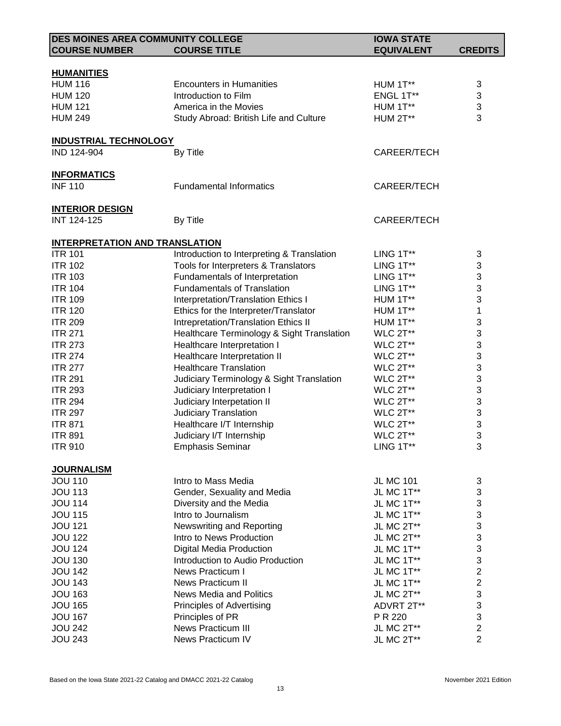| <b>DES MOINES AREA COMMUNITY COLLEGE</b> |                                            | <b>IOWA STATE</b> |                  |
|------------------------------------------|--------------------------------------------|-------------------|------------------|
| <b>COURSE NUMBER</b>                     | <b>COURSE TITLE</b>                        | <b>EQUIVALENT</b> | <b>CREDITS</b>   |
|                                          |                                            |                   |                  |
| <b>HUMANITIES</b>                        |                                            |                   |                  |
| <b>HUM 116</b>                           | <b>Encounters in Humanities</b>            | HUM 1T**          | 3                |
| <b>HUM 120</b>                           | Introduction to Film                       | ENGL 1T**         | 3                |
| <b>HUM 121</b>                           | America in the Movies                      | HUM 1T**          | 3                |
| <b>HUM 249</b>                           | Study Abroad: British Life and Culture     | HUM 2T**          | 3                |
|                                          |                                            |                   |                  |
| <b>INDUSTRIAL TECHNOLOGY</b>             |                                            |                   |                  |
| IND 124-904                              | By Title                                   | CAREER/TECH       |                  |
|                                          |                                            |                   |                  |
| <b>INFORMATICS</b>                       |                                            |                   |                  |
| <b>INF 110</b>                           | <b>Fundamental Informatics</b>             | CAREER/TECH       |                  |
| <b>INTERIOR DESIGN</b>                   |                                            |                   |                  |
| <b>INT 124-125</b>                       | By Title                                   | CAREER/TECH       |                  |
|                                          |                                            |                   |                  |
| <b>INTERPRETATION AND TRANSLATION</b>    |                                            |                   |                  |
| <b>ITR 101</b>                           | Introduction to Interpreting & Translation | LING 1T**         | 3                |
| <b>ITR 102</b>                           | Tools for Interpreters & Translators       | LING 1T**         | 3                |
| <b>ITR 103</b>                           | Fundamentals of Interpretation             | LING $1T**$       | 3                |
| <b>ITR 104</b>                           | <b>Fundamentals of Translation</b>         | LING 1T**         | 3                |
| <b>ITR 109</b>                           | Interpretation/Translation Ethics I        | HUM 1T**          | 3                |
| <b>ITR 120</b>                           | Ethics for the Interpreter/Translator      | HUM 1T**          | 1                |
| <b>ITR 209</b>                           | Intrepretation/Translation Ethics II       | HUM 1T**          | 3                |
| <b>ITR 271</b>                           | Healthcare Terminology & Sight Translation | WLC 2T**          | 3                |
| <b>ITR 273</b>                           | Healthcare Interpretation I                | WLC 2T**          | 3                |
| <b>ITR 274</b>                           | Healthcare Interpretation II               | WLC 2T**          | 3                |
| <b>ITR 277</b>                           | <b>Healthcare Translation</b>              | WLC 2T**          |                  |
| <b>ITR 291</b>                           |                                            |                   | 3                |
|                                          | Judiciary Terminology & Sight Translation  | WLC 2T**          | 3                |
| <b>ITR 293</b>                           | Judiciary Interpretation I                 | WLC 2T**          | 3                |
| <b>ITR 294</b>                           | Judiciary Interpetation II                 | WLC 2T**          | 3                |
| <b>ITR 297</b>                           | Judiciary Translation                      | WLC 2T**          | 3                |
| <b>ITR 871</b>                           | Healthcare I/T Internship                  | WLC 2T**          | 3                |
| <b>ITR 891</b>                           | Judiciary I/T Internship                   | WLC 2T**          | 3                |
| <b>ITR 910</b>                           | <b>Emphasis Seminar</b>                    | LING 1T**         | 3                |
|                                          |                                            |                   |                  |
| <b>JOURNALISM</b><br><b>JOU 110</b>      | Intro to Mass Media                        | <b>JL MC 101</b>  | 3                |
| <b>JOU 113</b>                           |                                            | JL MC 1T**        | 3                |
| <b>JOU 114</b>                           | Gender, Sexuality and Media                |                   |                  |
|                                          | Diversity and the Media                    | JL MC 1T**        | 3                |
| <b>JOU 115</b>                           | Intro to Journalism                        | JL MC 1T**        | 3                |
| <b>JOU 121</b>                           | Newswriting and Reporting                  | JL MC 2T**        | 3                |
| <b>JOU 122</b>                           | Intro to News Production                   | JL MC 2T**        | 3                |
| <b>JOU 124</b>                           | <b>Digital Media Production</b>            | JL MC 1T**        | 3                |
| <b>JOU 130</b>                           | Introduction to Audio Production           | JL MC 1T**        | 3                |
| <b>JOU 142</b>                           | News Practicum I                           | JL MC 1T**        | $\overline{c}$   |
| <b>JOU 143</b>                           | <b>News Practicum II</b>                   | JL MC 1T**        | $\boldsymbol{2}$ |
| <b>JOU 163</b>                           | <b>News Media and Politics</b>             | JL MC 2T**        | 3                |
| <b>JOU 165</b>                           | Principles of Advertising                  | ADVRT 2T**        | 3                |
| <b>JOU 167</b>                           | Principles of PR                           | P R 220           | 3                |
| <b>JOU 242</b>                           | News Practicum III                         | JL MC 2T**        | $\overline{c}$   |
| <b>JOU 243</b>                           | News Practicum IV                          | JL MC 2T**        | $\overline{2}$   |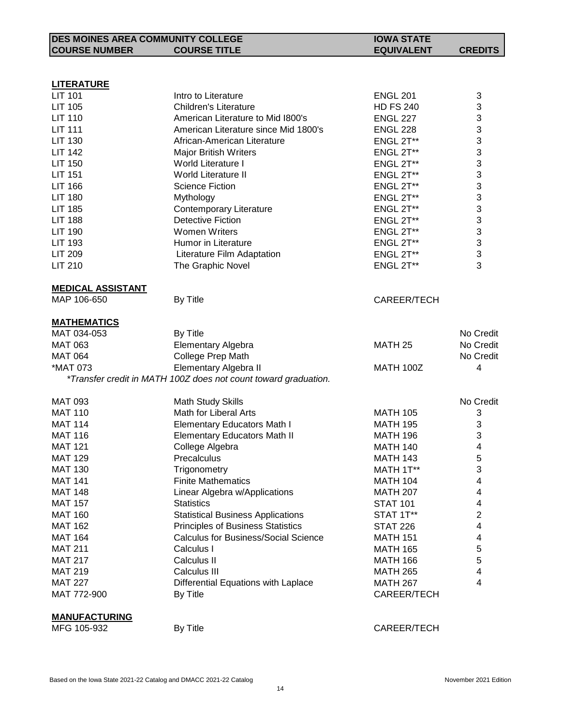| <b>DES MOINES AREA COMMUNITY COLLEGE</b> |                                                                 | <b>IOWA STATE</b>  |                |
|------------------------------------------|-----------------------------------------------------------------|--------------------|----------------|
| <b>COURSE NUMBER</b>                     | <b>COURSE TITLE</b>                                             | <b>EQUIVALENT</b>  | <b>CREDITS</b> |
|                                          |                                                                 |                    |                |
|                                          |                                                                 |                    |                |
| <b>LITERATURE</b>                        |                                                                 |                    |                |
| <b>LIT 101</b>                           | Intro to Literature                                             | <b>ENGL 201</b>    | 3              |
| LIT 105                                  | <b>Children's Literature</b>                                    | <b>HD FS 240</b>   | 3              |
| <b>LIT 110</b>                           | American Literature to Mid 1800's                               | <b>ENGL 227</b>    | 3              |
| <b>LIT 111</b>                           | American Literature since Mid 1800's                            | <b>ENGL 228</b>    | 3              |
| <b>LIT 130</b>                           | African-American Literature                                     | ENGL 2T**          | 3              |
| <b>LIT 142</b>                           | <b>Major British Writers</b>                                    | ENGL 2T**          | 3              |
| <b>LIT 150</b>                           | World Literature I                                              | ENGL 2T**          | 3              |
| <b>LIT 151</b>                           | World Literature II                                             | ENGL 2T**          | 3              |
| <b>LIT 166</b>                           | <b>Science Fiction</b>                                          | ENGL 2T**          | 3              |
| <b>LIT 180</b>                           | Mythology                                                       | ENGL 2T**          | 3              |
| <b>LIT 185</b>                           | <b>Contemporary Literature</b>                                  | ENGL 2T**          | 3              |
| <b>LIT 188</b>                           | <b>Detective Fiction</b>                                        | ENGL 2T**          | 3              |
| <b>LIT 190</b>                           | <b>Women Writers</b>                                            | ENGL 2T**          | 3              |
| <b>LIT 193</b>                           | <b>Humor in Literature</b>                                      | ENGL 2T**          | 3              |
| <b>LIT 209</b>                           | Literature Film Adaptation                                      | ENGL 2T**          | 3              |
| <b>LIT 210</b>                           | The Graphic Novel                                               | ENGL 2T**          | 3              |
|                                          |                                                                 |                    |                |
| <b>MEDICAL ASSISTANT</b>                 |                                                                 |                    |                |
| MAP 106-650                              | By Title                                                        | CAREER/TECH        |                |
|                                          |                                                                 |                    |                |
| <b>MATHEMATICS</b>                       |                                                                 |                    |                |
| MAT 034-053                              | By Title                                                        |                    | No Credit      |
| <b>MAT 063</b>                           | <b>Elementary Algebra</b>                                       | MATH <sub>25</sub> | No Credit      |
| <b>MAT 064</b>                           | College Prep Math                                               |                    | No Credit      |
| *MAT 073                                 | Elementary Algebra II                                           | <b>MATH 100Z</b>   | 4              |
|                                          | *Transfer credit in MATH 100Z does not count toward graduation. |                    |                |
|                                          |                                                                 |                    |                |
| <b>MAT 093</b>                           | <b>Math Study Skills</b>                                        |                    | No Credit      |
| <b>MAT 110</b>                           | Math for Liberal Arts                                           | <b>MATH 105</b>    | 3              |
| <b>MAT 114</b>                           | <b>Elementary Educators Math I</b>                              | <b>MATH 195</b>    | 3              |
| <b>MAT 116</b>                           | <b>Elementary Educators Math II</b>                             | <b>MATH 196</b>    | 3              |
| <b>MAT 121</b>                           | College Algebra                                                 | <b>MATH 140</b>    | 4              |
| <b>MAT 129</b>                           | Precalculus                                                     | <b>MATH 143</b>    | 5              |
| <b>MAT 130</b>                           | Trigonometry                                                    | MATH 1T**          | 3              |
| <b>MAT 141</b>                           | <b>Finite Mathematics</b>                                       | <b>MATH 104</b>    | 4              |
| <b>MAT 148</b>                           | Linear Algebra w/Applications<br><b>Statistics</b>              | <b>MATH 207</b>    | 4              |
| <b>MAT 157</b>                           |                                                                 | <b>STAT 101</b>    | 4              |
| <b>MAT 160</b>                           | <b>Statistical Business Applications</b>                        | STAT 1T**          | $\overline{c}$ |
| <b>MAT 162</b>                           | <b>Principles of Business Statistics</b>                        | <b>STAT 226</b>    | 4              |
| <b>MAT 164</b>                           | <b>Calculus for Business/Social Science</b>                     | <b>MATH 151</b>    | 4              |
| <b>MAT 211</b>                           | Calculus I                                                      | <b>MATH 165</b>    | 5              |
| <b>MAT 217</b>                           | Calculus II                                                     | <b>MATH 166</b>    | 5              |
| <b>MAT 219</b>                           | Calculus III                                                    | <b>MATH 265</b>    | 4              |
| <b>MAT 227</b>                           | Differential Equations with Laplace                             | <b>MATH 267</b>    | 4              |
| MAT 772-900                              | By Title                                                        | CAREER/TECH        |                |
|                                          |                                                                 |                    |                |
| <b>MANUFACTURING</b><br>MFG 105-932      | By Title                                                        | CAREER/TECH        |                |
|                                          |                                                                 |                    |                |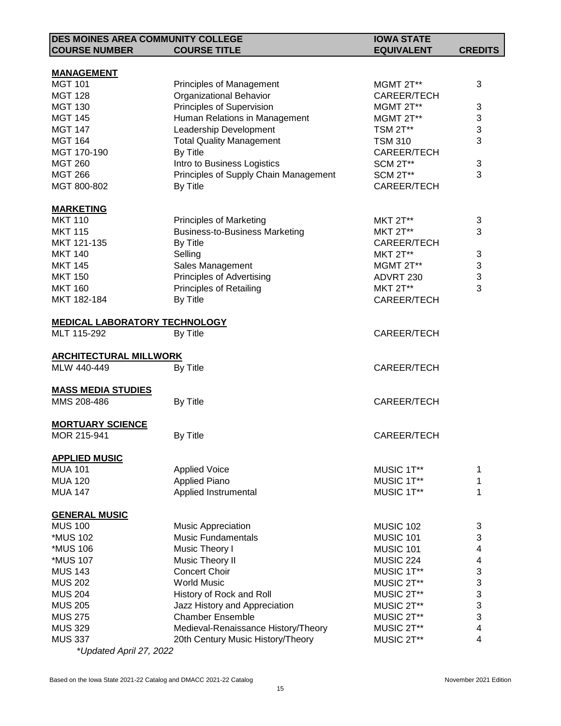| <b>DES MOINES AREA COMMUNITY COLLEGE</b> |                                       | <b>IOWA STATE</b>  |                         |
|------------------------------------------|---------------------------------------|--------------------|-------------------------|
| <b>COURSE NUMBER</b>                     | <b>COURSE TITLE</b>                   | <b>EQUIVALENT</b>  | <b>CREDITS</b>          |
|                                          |                                       |                    |                         |
| <b>MANAGEMENT</b>                        |                                       |                    |                         |
| <b>MGT 101</b>                           | <b>Principles of Management</b>       | MGMT 2T**          | 3                       |
| <b>MGT 128</b>                           | Organizational Behavior               | CAREER/TECH        |                         |
| <b>MGT 130</b>                           | Principles of Supervision             | MGMT 2T**          | 3                       |
| <b>MGT 145</b>                           | Human Relations in Management         | MGMT 2T**          | 3                       |
| <b>MGT 147</b>                           | Leadership Development                | <b>TSM 2T**</b>    | 3                       |
| <b>MGT 164</b>                           | <b>Total Quality Management</b>       | <b>TSM 310</b>     | 3                       |
| MGT 170-190                              | By Title                              | CAREER/TECH        |                         |
| <b>MGT 260</b>                           | Intro to Business Logistics           | <b>SCM 2T**</b>    | 3                       |
| <b>MGT 266</b>                           | Principles of Supply Chain Management | <b>SCM 2T**</b>    | 3                       |
| MGT 800-802                              | By Title                              | CAREER/TECH        |                         |
| <b>MARKETING</b>                         |                                       |                    |                         |
| <b>MKT 110</b>                           | <b>Principles of Marketing</b>        | <b>MKT 2T**</b>    | 3                       |
| <b>MKT 115</b>                           | <b>Business-to-Business Marketing</b> | <b>MKT 2T**</b>    | 3                       |
| MKT 121-135                              | By Title                              | CAREER/TECH        |                         |
| <b>MKT 140</b>                           | Selling                               | <b>MKT 2T**</b>    | 3                       |
|                                          |                                       |                    | $\sqrt{3}$              |
| <b>MKT 145</b>                           | Sales Management                      | MGMT 2T**          | 3                       |
| <b>MKT 150</b>                           | Principles of Advertising             | ADVRT 230          | 3                       |
| <b>MKT 160</b>                           | <b>Principles of Retailing</b>        | <b>MKT 2T**</b>    |                         |
| MKT 182-184                              | By Title                              | CAREER/TECH        |                         |
| <b>MEDICAL LABORATORY TECHNOLOGY</b>     |                                       |                    |                         |
| MLT 115-292                              | By Title                              | CAREER/TECH        |                         |
|                                          |                                       |                    |                         |
| <b>ARCHITECTURAL MILLWORK</b>            |                                       |                    |                         |
| MLW 440-449                              | By Title                              | CAREER/TECH        |                         |
| <b>MASS MEDIA STUDIES</b>                |                                       |                    |                         |
| MMS 208-486                              | By Title                              | CAREER/TECH        |                         |
|                                          |                                       |                    |                         |
| <b>MORTUARY SCIENCE</b>                  |                                       |                    |                         |
| MOR 215-941                              | By Title                              | <b>CAREER/TECH</b> |                         |
|                                          |                                       |                    |                         |
| <u>APPLIED MUSIC</u>                     |                                       |                    |                         |
| <b>MUA 101</b>                           | <b>Applied Voice</b>                  | MUSIC 1T**         | 1                       |
| <b>MUA 120</b>                           | <b>Applied Piano</b>                  | MUSIC 1T**         | 1                       |
| <b>MUA 147</b>                           | Applied Instrumental                  | MUSIC 1T**         | 1                       |
| <b>GENERAL MUSIC</b>                     |                                       |                    |                         |
| <b>MUS 100</b>                           | <b>Music Appreciation</b>             | MUSIC 102          | 3                       |
| *MUS 102                                 | <b>Music Fundamentals</b>             | MUSIC 101          | 3                       |
| *MUS 106                                 | Music Theory I                        | MUSIC 101          | 4                       |
| *MUS 107                                 | Music Theory II                       | <b>MUSIC 224</b>   | 4                       |
| <b>MUS 143</b>                           | <b>Concert Choir</b>                  | MUSIC 1T**         | 3                       |
| <b>MUS 202</b>                           | <b>World Music</b>                    | MUSIC 2T**         | 3                       |
| <b>MUS 204</b>                           | History of Rock and Roll              | MUSIC 2T**         | 3                       |
| <b>MUS 205</b>                           | Jazz History and Appreciation         | MUSIC 2T**         | 3                       |
| <b>MUS 275</b>                           | <b>Chamber Ensemble</b>               | MUSIC 2T**         | 3                       |
| <b>MUS 329</b>                           | Medieval-Renaissance History/Theory   | MUSIC 2T**         | $\overline{\mathbf{4}}$ |
| <b>MUS 337</b>                           | 20th Century Music History/Theory     | MUSIC 2T**         | 4                       |
| *Updated April 27, 2022                  |                                       |                    |                         |
|                                          |                                       |                    |                         |

Based on the Iowa State 2021-22 Catalog and DMACC 2021-22 Catalog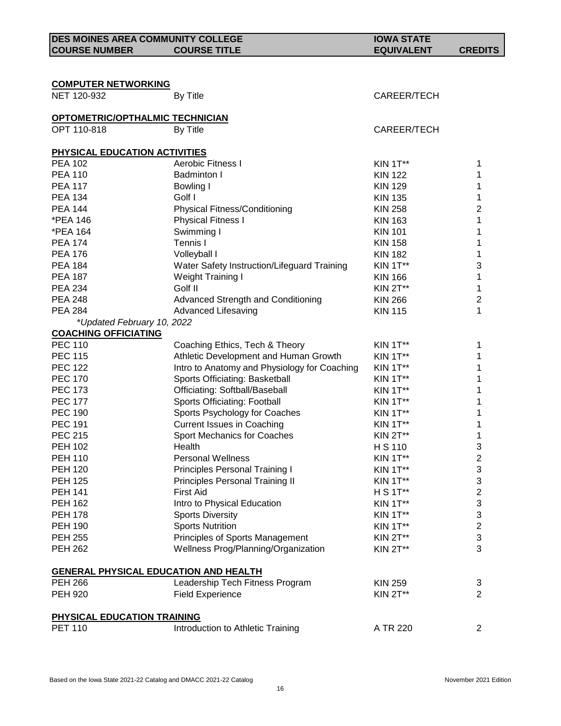| <b>DES MOINES AREA COMMUNITY COLLEGE</b>              |                                              | <b>IOWA STATE</b> |                  |
|-------------------------------------------------------|----------------------------------------------|-------------------|------------------|
| <b>COURSE NUMBER</b>                                  | <b>COURSE TITLE</b>                          | <b>EQUIVALENT</b> | <b>CREDITS</b>   |
|                                                       |                                              |                   |                  |
|                                                       |                                              |                   |                  |
| <b>COMPUTER NETWORKING</b>                            |                                              |                   |                  |
| NET 120-932                                           | By Title                                     | CAREER/TECH       |                  |
|                                                       |                                              |                   |                  |
| <b>OPTOMETRIC/OPTHALMIC TECHNICIAN</b><br>OPT 110-818 | By Title                                     | CAREER/TECH       |                  |
|                                                       |                                              |                   |                  |
| PHYSICAL EDUCATION ACTIVITIES                         |                                              |                   |                  |
| <b>PEA 102</b>                                        | <b>Aerobic Fitness I</b>                     | <b>KIN 1T**</b>   | 1                |
| <b>PEA 110</b>                                        | <b>Badminton I</b>                           | <b>KIN 122</b>    | 1                |
| <b>PEA 117</b>                                        | <b>Bowling I</b>                             | <b>KIN 129</b>    | 1                |
| <b>PEA 134</b>                                        | Golf I                                       | <b>KIN 135</b>    | 1                |
| <b>PEA 144</b>                                        | <b>Physical Fitness/Conditioning</b>         | <b>KIN 258</b>    | 2                |
| *PEA 146                                              | <b>Physical Fitness I</b>                    | <b>KIN 163</b>    | 1                |
| *PEA 164                                              | Swimming I                                   | <b>KIN 101</b>    | 1                |
| <b>PEA 174</b>                                        | Tennis I                                     | <b>KIN 158</b>    | 1                |
| <b>PEA 176</b>                                        | Volleyball I                                 | <b>KIN 182</b>    | 1                |
| <b>PEA 184</b>                                        | Water Safety Instruction/Lifeguard Training  | <b>KIN 1T**</b>   | 3                |
| <b>PEA 187</b>                                        | Weight Training I                            | <b>KIN 166</b>    | 1                |
| <b>PEA 234</b>                                        | Golf II                                      | <b>KIN 2T**</b>   | 1                |
| <b>PEA 248</b>                                        | Advanced Strength and Conditioning           | <b>KIN 266</b>    | 2                |
| <b>PEA 284</b>                                        | <b>Advanced Lifesaving</b>                   | <b>KIN 115</b>    | 1                |
| *Updated February 10, 2022                            |                                              |                   |                  |
| <b>COACHING OFFICIATING</b>                           |                                              |                   |                  |
| <b>PEC 110</b>                                        | Coaching Ethics, Tech & Theory               | KIN 1T**          | 1                |
| <b>PEC 115</b>                                        | Athletic Development and Human Growth        | KIN 1T**          | 1                |
| <b>PEC 122</b>                                        | Intro to Anatomy and Physiology for Coaching | <b>KIN 1T**</b>   | 1                |
| <b>PEC 170</b>                                        | Sports Officiating: Basketball               | KIN 1T**          | 1                |
| <b>PEC 173</b>                                        | Officiating: Softball/Baseball               | KIN 1T**          | 1                |
| <b>PEC 177</b>                                        | Sports Officiating: Football                 | <b>KIN 1T**</b>   | 1                |
| <b>PEC 190</b>                                        | Sports Psychology for Coaches                | <b>KIN 1T**</b>   | 1                |
| <b>PEC 191</b>                                        | <b>Current Issues in Coaching</b>            | <b>KIN 1T**</b>   | 1                |
| <b>PEC 215</b>                                        | <b>Sport Mechanics for Coaches</b>           | <b>KIN 2T**</b>   | 1                |
| <b>PEH 102</b>                                        | Health                                       | H S 110           | 3                |
| <b>PEH 110</b>                                        | <b>Personal Wellness</b>                     | <b>KIN 1T**</b>   | $\boldsymbol{2}$ |
| <b>PEH 120</b>                                        | Principles Personal Training I               | KIN 1T**          | 3                |
| <b>PEH 125</b>                                        | Principles Personal Training II              | <b>KIN 1T**</b>   | 3                |
| <b>PEH 141</b>                                        | <b>First Aid</b>                             | H S 1T**          | $\boldsymbol{2}$ |
| <b>PEH 162</b>                                        | Intro to Physical Education                  | <b>KIN 1T**</b>   | 3                |
| <b>PEH 178</b>                                        | <b>Sports Diversity</b>                      | <b>KIN 1T**</b>   | 3                |
| <b>PEH 190</b>                                        | <b>Sports Nutrition</b>                      | <b>KIN 1T**</b>   | $\overline{c}$   |
| <b>PEH 255</b>                                        | Principles of Sports Management              | <b>KIN 2T**</b>   | 3                |
| <b>PEH 262</b>                                        | Wellness Prog/Planning/Organization          | <b>KIN 2T**</b>   | 3                |
| <b>GENERAL PHYSICAL EDUCATION AND HEALTH</b>          |                                              |                   |                  |
| <b>PEH 266</b>                                        | Leadership Tech Fitness Program              | <b>KIN 259</b>    | 3                |
| <b>PEH 920</b>                                        | <b>Field Experience</b>                      | <b>KIN 2T**</b>   | 2                |
|                                                       |                                              |                   |                  |
| PHYSICAL EDUCATION TRAINING                           |                                              |                   |                  |
| <b>PET 110</b>                                        | Introduction to Athletic Training            | A TR 220          | $\overline{2}$   |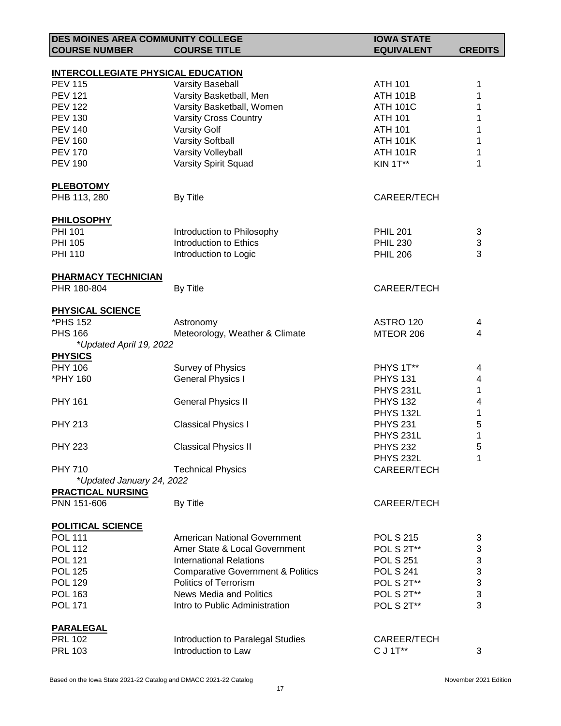| <b>DES MOINES AREA COMMUNITY COLLEGE</b>  |                                              | <b>IOWA STATE</b>    |                |
|-------------------------------------------|----------------------------------------------|----------------------|----------------|
| <b>COURSE NUMBER</b>                      | <b>COURSE TITLE</b>                          | <b>EQUIVALENT</b>    | <b>CREDITS</b> |
|                                           |                                              |                      |                |
| <b>INTERCOLLEGIATE PHYSICAL EDUCATION</b> |                                              |                      |                |
| <b>PEV 115</b>                            | <b>Varsity Baseball</b>                      | <b>ATH 101</b>       | 1              |
| <b>PEV 121</b>                            | Varsity Basketball, Men                      | <b>ATH 101B</b>      | 1              |
| <b>PEV 122</b>                            | Varsity Basketball, Women                    | <b>ATH 101C</b>      | 1              |
| <b>PEV 130</b>                            | <b>Varsity Cross Country</b>                 | <b>ATH 101</b>       |                |
| <b>PEV 140</b>                            | <b>Varsity Golf</b>                          | <b>ATH 101</b>       | 1              |
| <b>PEV 160</b>                            | <b>Varsity Softball</b>                      | <b>ATH 101K</b>      | 1              |
| <b>PEV 170</b>                            | Varsity Volleyball                           |                      | 1              |
|                                           |                                              | <b>ATH 101R</b>      |                |
| <b>PEV 190</b>                            | <b>Varsity Spirit Squad</b>                  | <b>KIN 1T**</b>      | 1              |
| <b>PLEBOTOMY</b>                          |                                              |                      |                |
| PHB 113, 280                              | By Title                                     | CAREER/TECH          |                |
|                                           |                                              |                      |                |
| <b>PHILOSOPHY</b>                         |                                              |                      |                |
| <b>PHI 101</b>                            | Introduction to Philosophy                   | <b>PHIL 201</b>      | 3              |
| <b>PHI 105</b>                            | Introduction to Ethics                       | <b>PHIL 230</b>      | 3              |
| <b>PHI 110</b>                            | Introduction to Logic                        | <b>PHIL 206</b>      | 3              |
|                                           |                                              |                      |                |
| <b>PHARMACY TECHNICIAN</b>                |                                              |                      |                |
| PHR 180-804                               | By Title                                     | CAREER/TECH          |                |
|                                           |                                              |                      |                |
| <b>PHYSICAL SCIENCE</b>                   |                                              |                      |                |
| *PHS 152                                  | Astronomy                                    | ASTRO 120            | 4              |
| <b>PHS 166</b>                            | Meteorology, Weather & Climate               | MTEOR 206            | 4              |
| *Updated April 19, 2022                   |                                              |                      |                |
| <b>PHYSICS</b>                            |                                              |                      |                |
| PHY 106                                   | Survey of Physics                            | PHYS 1T**            | 4              |
| *PHY 160                                  | <b>General Physics I</b>                     | <b>PHYS 131</b>      | 4              |
|                                           |                                              | <b>PHYS 231L</b>     |                |
|                                           |                                              |                      | 1              |
| <b>PHY 161</b>                            | <b>General Physics II</b>                    | <b>PHYS 132</b>      | 4              |
|                                           |                                              | <b>PHYS 132L</b>     | 1              |
| <b>PHY 213</b>                            | <b>Classical Physics I</b>                   | <b>PHYS 231</b>      | 5              |
|                                           |                                              | PHYS <sub>231L</sub> | 1              |
| <b>PHY 223</b>                            | <b>Classical Physics II</b>                  | <b>PHYS 232</b>      | 5              |
|                                           |                                              | <b>PHYS 232L</b>     | 1              |
| <b>PHY 710</b>                            | <b>Technical Physics</b>                     | CAREER/TECH          |                |
| *Updated January 24, 2022                 |                                              |                      |                |
| <b>PRACTICAL NURSING</b>                  |                                              |                      |                |
| PNN 151-606                               | By Title                                     | CAREER/TECH          |                |
|                                           |                                              |                      |                |
| <b>POLITICAL SCIENCE</b>                  |                                              |                      |                |
| <b>POL 111</b>                            | American National Government                 | <b>POL S 215</b>     | 3              |
| <b>POL 112</b>                            | Amer State & Local Government                | <b>POL S 2T**</b>    | 3              |
| <b>POL 121</b>                            | <b>International Relations</b>               | <b>POL S 251</b>     | 3              |
| <b>POL 125</b>                            | <b>Comparative Government &amp; Politics</b> | <b>POL S 241</b>     | 3              |
| <b>POL 129</b>                            | Politics of Terrorism                        |                      | 3              |
|                                           |                                              | POL S 2T**           |                |
| <b>POL 163</b>                            | <b>News Media and Politics</b>               | POL S 2T**           | 3              |
| <b>POL 171</b>                            | Intro to Public Administration               | POL S 2T**           | 3              |
| <b>PARALEGAL</b>                          |                                              |                      |                |
|                                           |                                              |                      |                |
| <b>PRL 102</b>                            | Introduction to Paralegal Studies            | CAREER/TECH          |                |
| <b>PRL 103</b>                            | Introduction to Law                          | C J 1T**             | 3              |
|                                           |                                              |                      |                |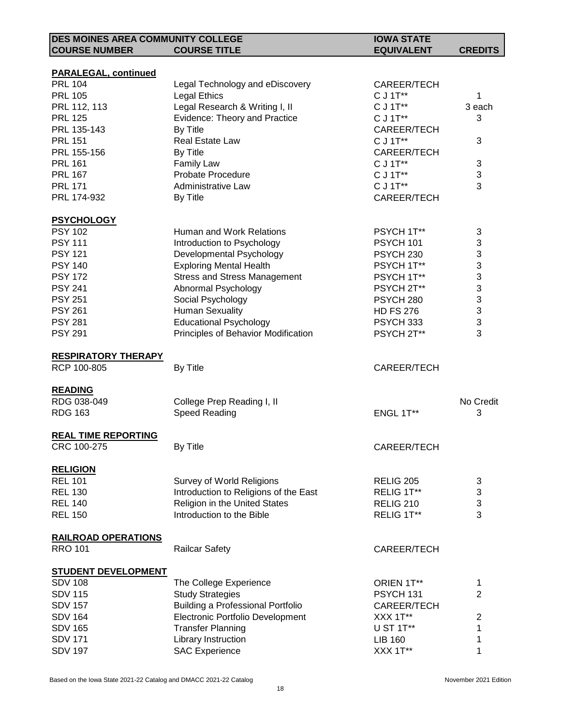| <b>DES MOINES AREA COMMUNITY COLLEGE</b> |                                          | <b>IOWA STATE</b>    |                |
|------------------------------------------|------------------------------------------|----------------------|----------------|
| <b>COURSE NUMBER</b>                     | <b>COURSE TITLE</b>                      | <b>EQUIVALENT</b>    | <b>CREDITS</b> |
|                                          |                                          |                      |                |
| <b>PARALEGAL, continued</b>              |                                          |                      |                |
| <b>PRL 104</b>                           | Legal Technology and eDiscovery          | CAREER/TECH          |                |
| <b>PRL 105</b>                           | <b>Legal Ethics</b>                      | C J 1T**             | 1              |
| PRL 112, 113                             | Legal Research & Writing I, II           | C J 1T**             | 3 each         |
| <b>PRL 125</b>                           | Evidence: Theory and Practice            | C J 1T**             | 3              |
| PRL 135-143                              | By Title                                 | CAREER/TECH          |                |
| <b>PRL 151</b>                           | Real Estate Law                          | C J 1T**             | 3              |
| PRL 155-156                              | By Title                                 | CAREER/TECH          |                |
| <b>PRL 161</b>                           | Family Law                               | C J 1T**             | 3              |
| <b>PRL 167</b>                           | <b>Probate Procedure</b>                 | C J 1T**             | 3              |
| <b>PRL 171</b>                           | Administrative Law                       | C J 1T**             | 3              |
| PRL 174-932                              | By Title                                 | CAREER/TECH          |                |
| <b>PSYCHOLOGY</b>                        |                                          |                      |                |
| <b>PSY 102</b>                           | Human and Work Relations                 | PSYCH 1T**           | 3              |
| <b>PSY 111</b>                           | Introduction to Psychology               | PSYCH 101            | 3              |
| <b>PSY 121</b>                           | Developmental Psychology                 | PSYCH 230            | 3              |
| <b>PSY 140</b>                           | <b>Exploring Mental Health</b>           | PSYCH 1T**           | 3              |
| <b>PSY 172</b>                           | <b>Stress and Stress Management</b>      | PSYCH 1T**           | 3              |
| <b>PSY 241</b>                           | Abnormal Psychology                      | PSYCH 2T**           | 3              |
| <b>PSY 251</b>                           | Social Psychology                        | PSYCH <sub>280</sub> | 3              |
| <b>PSY 261</b>                           | <b>Human Sexuality</b>                   | <b>HD FS 276</b>     | 3              |
| <b>PSY 281</b>                           | <b>Educational Psychology</b>            | PSYCH 333            | 3              |
| <b>PSY 291</b>                           | Principles of Behavior Modification      | PSYCH 2T**           | 3              |
| <b>RESPIRATORY THERAPY</b>               |                                          |                      |                |
| RCP 100-805                              | By Title                                 | CAREER/TECH          |                |
|                                          |                                          |                      |                |
| <b>READING</b>                           |                                          |                      |                |
| RDG 038-049                              | College Prep Reading I, II               |                      | No Credit      |
| <b>RDG 163</b>                           | <b>Speed Reading</b>                     | ENGL 1T**            | 3              |
| <b>REAL TIME REPORTING</b>               |                                          |                      |                |
| CRC 100-275                              | <b>By Title</b>                          | CAREER/TECH          |                |
| <b>RELIGION</b>                          |                                          |                      |                |
| <b>REL 101</b>                           | Survey of World Religions                | <b>RELIG 205</b>     | 3              |
| <b>REL 130</b>                           | Introduction to Religions of the East    | RELIG 1T**           | 3              |
| <b>REL 140</b>                           | Religion in the United States            | <b>RELIG 210</b>     | 3              |
| <b>REL 150</b>                           | Introduction to the Bible                | RELIG 1T**           | 3              |
| <b>RAILROAD OPERATIONS</b>               |                                          |                      |                |
| <b>RRO 101</b>                           | <b>Railcar Safety</b>                    | CAREER/TECH          |                |
|                                          |                                          |                      |                |
| <b>STUDENT DEVELOPMENT</b>               |                                          |                      |                |
| <b>SDV 108</b>                           | The College Experience                   | ORIEN 1T**           | 1              |
| <b>SDV 115</b>                           | <b>Study Strategies</b>                  | PSYCH 131            | $\overline{2}$ |
| <b>SDV 157</b>                           | <b>Building a Professional Portfolio</b> | CAREER/TECH          |                |
| <b>SDV 164</b>                           | Electronic Portfolio Development         | XXX 1T**             | $\overline{2}$ |
| <b>SDV 165</b>                           | <b>Transfer Planning</b>                 | U ST 1T**            | 1              |
| <b>SDV 171</b>                           | Library Instruction                      | <b>LIB 160</b>       | 1              |
| <b>SDV 197</b>                           | <b>SAC Experience</b>                    | XXX 1T**             | 1              |